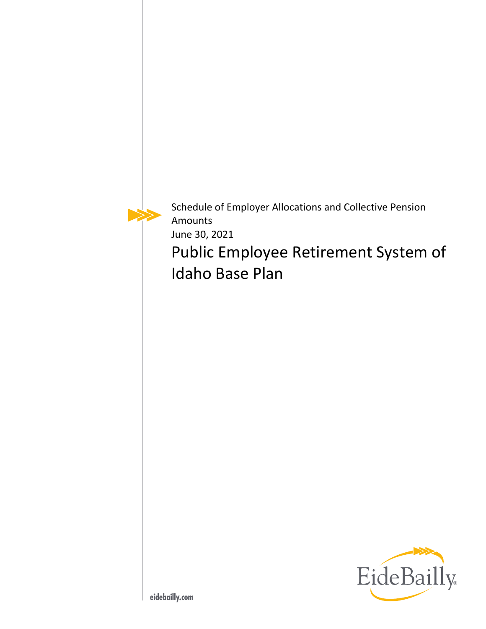Schedule of Employer Allocations and Collective Pension Amounts June 30, 2021

Public Employee Retirement System of Idaho Base Plan

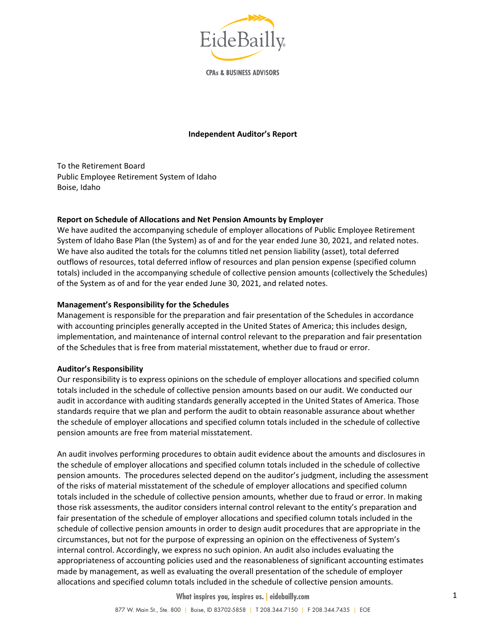

**CPAs & BUSINESS ADVISORS** 

#### **Independent Auditor's Report**

To the Retirement Board Public Employee Retirement System of Idaho Boise, Idaho

### **Report on Schedule of Allocations and Net Pension Amounts by Employer**

We have audited the accompanying schedule of employer allocations of Public Employee Retirement System of Idaho Base Plan (the System) as of and for the year ended June 30, 2021, and related notes. We have also audited the totals for the columns titled net pension liability (asset), total deferred outflows of resources, total deferred inflow of resources and plan pension expense (specified column totals) included in the accompanying schedule of collective pension amounts (collectively the Schedules) of the System as of and for the year ended June 30, 2021, and related notes.

#### **Management's Responsibility for the Schedules**

Management is responsible for the preparation and fair presentation of the Schedules in accordance with accounting principles generally accepted in the United States of America; this includes design, implementation, and maintenance of internal control relevant to the preparation and fair presentation of the Schedules that is free from material misstatement, whether due to fraud or error.

#### **Auditor's Responsibility**

Our responsibility is to express opinions on the schedule of employer allocations and specified column totals included in the schedule of collective pension amounts based on our audit. We conducted our audit in accordance with auditing standards generally accepted in the United States of America. Those standards require that we plan and perform the audit to obtain reasonable assurance about whether the schedule of employer allocations and specified column totals included in the schedule of collective pension amounts are free from material misstatement.

An audit involves performing procedures to obtain audit evidence about the amounts and disclosures in the schedule of employer allocations and specified column totals included in the schedule of collective pension amounts. The procedures selected depend on the auditor's judgment, including the assessment of the risks of material misstatement of the schedule of employer allocations and specified column totals included in the schedule of collective pension amounts, whether due to fraud or error. In making those risk assessments, the auditor considers internal control relevant to the entity's preparation and fair presentation of the schedule of employer allocations and specified column totals included in the schedule of collective pension amounts in order to design audit procedures that are appropriate in the circumstances, but not for the purpose of expressing an opinion on the effectiveness of System's internal control. Accordingly, we express no such opinion. An audit also includes evaluating the appropriateness of accounting policies used and the reasonableness of significant accounting estimates made by management, as well as evaluating the overall presentation of the schedule of employer allocations and specified column totals included in the schedule of collective pension amounts.

#### **What inspires you, inspires us. | eidebailly.com**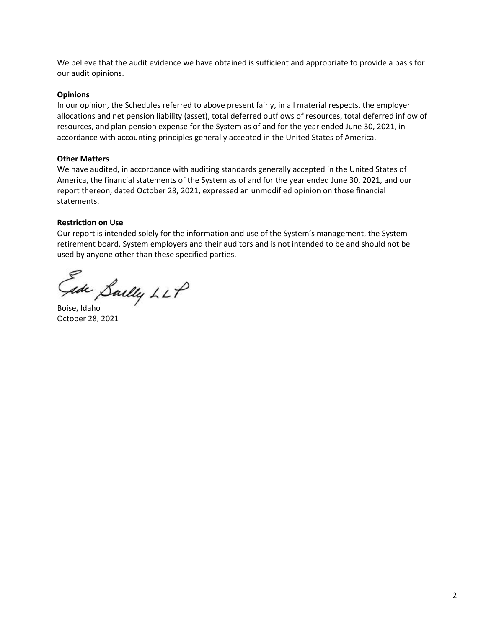We believe that the audit evidence we have obtained is sufficient and appropriate to provide a basis for our audit opinions.

### **Opinions**

In our opinion, the Schedules referred to above present fairly, in all material respects, the employer allocations and net pension liability (asset), total deferred outflows of resources, total deferred inflow of resources, and plan pension expense for the System as of and for the year ended June 30, 2021, in accordance with accounting principles generally accepted in the United States of America.

### **Other Matters**

We have audited, in accordance with auditing standards generally accepted in the United States of America, the financial statements of the System as of and for the year ended June 30, 2021, and our report thereon, dated October 28, 2021, expressed an unmodified opinion on those financial statements.

### **Restriction on Use**

Our report is intended solely for the information and use of the System's management, the System retirement board, System employers and their auditors and is not intended to be and should not be used by anyone other than these specified parties.

Gade Saelly LLP

October 28, 2021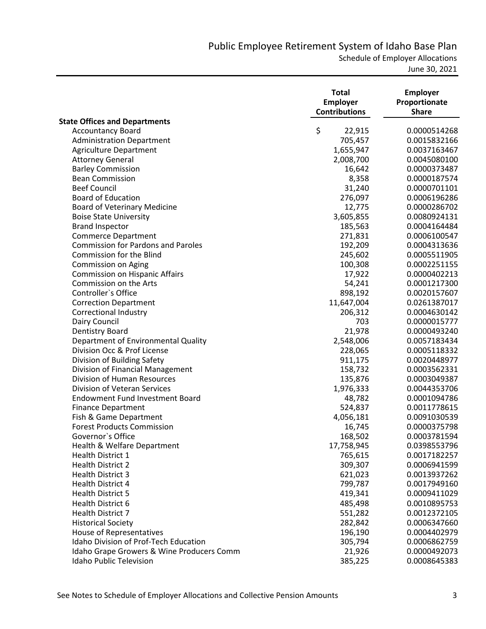Schedule of Employer Allocations

|                                           | <b>Total</b><br><b>Employer</b><br><b>Contributions</b> | <b>Employer</b><br>Proportionate<br><b>Share</b> |
|-------------------------------------------|---------------------------------------------------------|--------------------------------------------------|
| <b>State Offices and Departments</b>      |                                                         |                                                  |
| <b>Accountancy Board</b>                  | \$<br>22,915                                            | 0.0000514268                                     |
| <b>Administration Department</b>          | 705,457                                                 | 0.0015832166                                     |
| <b>Agriculture Department</b>             | 1,655,947                                               | 0.0037163467                                     |
| <b>Attorney General</b>                   | 2,008,700                                               | 0.0045080100                                     |
| <b>Barley Commission</b>                  | 16,642                                                  | 0.0000373487                                     |
| <b>Bean Commission</b>                    | 8,358                                                   | 0.0000187574                                     |
| <b>Beef Council</b>                       | 31,240                                                  | 0.0000701101                                     |
| <b>Board of Education</b>                 | 276,097                                                 | 0.0006196286                                     |
| <b>Board of Veterinary Medicine</b>       | 12,775                                                  | 0.0000286702                                     |
| <b>Boise State University</b>             | 3,605,855                                               | 0.0080924131                                     |
| <b>Brand Inspector</b>                    | 185,563                                                 | 0.0004164484                                     |
| <b>Commerce Department</b>                | 271,831                                                 | 0.0006100547                                     |
| <b>Commission for Pardons and Paroles</b> | 192,209                                                 | 0.0004313636                                     |
| <b>Commission for the Blind</b>           | 245,602                                                 | 0.0005511905                                     |
| Commission on Aging                       | 100,308                                                 | 0.0002251155                                     |
| <b>Commission on Hispanic Affairs</b>     | 17,922                                                  | 0.0000402213                                     |
| Commission on the Arts                    | 54,241                                                  | 0.0001217300                                     |
| Controller's Office                       | 898,192                                                 | 0.0020157607                                     |
| <b>Correction Department</b>              | 11,647,004                                              | 0.0261387017                                     |
| Correctional Industry                     | 206,312                                                 | 0.0004630142                                     |
| Dairy Council                             | 703                                                     | 0.0000015777                                     |
| Dentistry Board                           | 21,978                                                  | 0.0000493240                                     |
| Department of Environmental Quality       | 2,548,006                                               | 0.0057183434                                     |
| Division Occ & Prof License               | 228,065                                                 | 0.0005118332                                     |
| Division of Building Safety               | 911,175                                                 | 0.0020448977                                     |
| Division of Financial Management          | 158,732                                                 | 0.0003562331                                     |
| Division of Human Resources               | 135,876                                                 | 0.0003049387                                     |
| Division of Veteran Services              | 1,976,333                                               | 0.0044353706                                     |
| <b>Endowment Fund Investment Board</b>    | 48,782                                                  | 0.0001094786                                     |
| <b>Finance Department</b>                 | 524,837                                                 | 0.0011778615                                     |
| Fish & Game Department                    | 4,056,181                                               | 0.0091030539                                     |
| <b>Forest Products Commission</b>         | 16,745                                                  | 0.0000375798                                     |
| Governor's Office                         | 168,502                                                 | 0.0003781594                                     |
| Health & Welfare Department               | 17,758,945                                              | 0.0398553796                                     |
| <b>Health District 1</b>                  | 765,615                                                 | 0.0017182257                                     |
| <b>Health District 2</b>                  | 309,307                                                 | 0.0006941599                                     |
| Health District 3                         | 621,023                                                 | 0.0013937262                                     |
| Health District 4                         | 799,787                                                 | 0.0017949160                                     |
| <b>Health District 5</b>                  | 419,341                                                 | 0.0009411029                                     |
| Health District 6                         | 485,498                                                 | 0.0010895753                                     |
| Health District 7                         | 551,282                                                 | 0.0012372105                                     |
| <b>Historical Society</b>                 | 282,842                                                 | 0.0006347660                                     |
| House of Representatives                  | 196,190                                                 | 0.0004402979                                     |
| Idaho Division of Prof-Tech Education     | 305,794                                                 | 0.0006862759                                     |
| Idaho Grape Growers & Wine Producers Comm | 21,926                                                  | 0.0000492073                                     |
| <b>Idaho Public Television</b>            | 385,225                                                 | 0.0008645383                                     |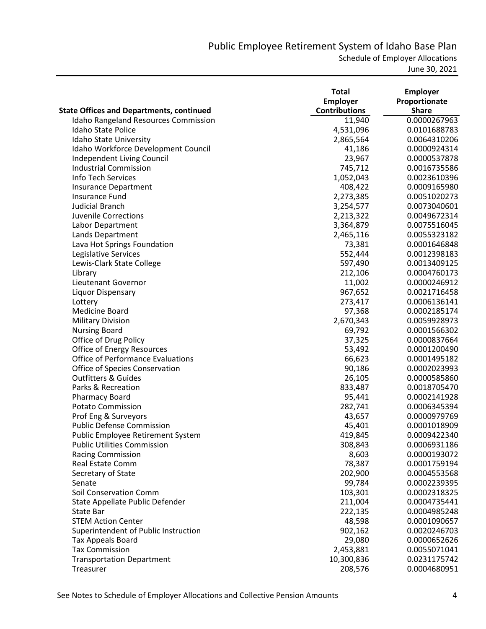|                                                 | <b>Total</b>         | <b>Employer</b> |
|-------------------------------------------------|----------------------|-----------------|
|                                                 | <b>Employer</b>      | Proportionate   |
| <b>State Offices and Departments, continued</b> | <b>Contributions</b> | <b>Share</b>    |
| <b>Idaho Rangeland Resources Commission</b>     | 11,940               | 0.0000267963    |
| <b>Idaho State Police</b>                       | 4,531,096            | 0.0101688783    |
| Idaho State University                          | 2,865,564            | 0.0064310206    |
| Idaho Workforce Development Council             | 41,186               | 0.0000924314    |
| Independent Living Council                      | 23,967               | 0.0000537878    |
| <b>Industrial Commission</b>                    | 745,712              | 0.0016735586    |
| Info Tech Services                              | 1,052,043            | 0.0023610396    |
| <b>Insurance Department</b>                     | 408,422              | 0.0009165980    |
| Insurance Fund                                  | 2,273,385            | 0.0051020273    |
| <b>Judicial Branch</b>                          | 3,254,577            | 0.0073040601    |
| <b>Juvenile Corrections</b>                     | 2,213,322            | 0.0049672314    |
| Labor Department                                | 3,364,879            | 0.0075516045    |
| Lands Department                                | 2,465,116            | 0.0055323182    |
| Lava Hot Springs Foundation                     | 73,381               | 0.0001646848    |
| Legislative Services                            | 552,444              | 0.0012398183    |
| Lewis-Clark State College                       | 597,490              | 0.0013409125    |
| Library                                         | 212,106              | 0.0004760173    |
| Lieutenant Governor                             | 11,002               | 0.0000246912    |
| Liquor Dispensary                               | 967,652              | 0.0021716458    |
| Lottery                                         | 273,417              | 0.0006136141    |
| Medicine Board                                  | 97,368               | 0.0002185174    |
| <b>Military Division</b>                        | 2,670,343            | 0.0059928973    |
| <b>Nursing Board</b>                            | 69,792               | 0.0001566302    |
| Office of Drug Policy                           | 37,325               | 0.0000837664    |
| Office of Energy Resources                      | 53,492               | 0.0001200490    |
| <b>Office of Performance Evaluations</b>        | 66,623               | 0.0001495182    |
| Office of Species Conservation                  | 90,186               | 0.0002023993    |
| <b>Outfitters &amp; Guides</b>                  | 26,105               | 0.0000585860    |
| Parks & Recreation                              | 833,487              | 0.0018705470    |
| <b>Pharmacy Board</b>                           | 95,441               | 0.0002141928    |
| <b>Potato Commission</b>                        | 282,741              | 0.0006345394    |
| Prof Eng & Surveyors                            | 43,657               | 0.0000979769    |
| <b>Public Defense Commission</b>                | 45,401               | 0.0001018909    |
| Public Employee Retirement System               | 419,845              | 0.0009422340    |
| <b>Public Utilities Commission</b>              | 308,843              | 0.0006931186    |
| <b>Racing Commission</b>                        | 8,603                | 0.0000193072    |
| <b>Real Estate Comm</b>                         | 78,387               | 0.0001759194    |
| Secretary of State                              | 202,900              | 0.0004553568    |
| Senate                                          | 99,784               | 0.0002239395    |
| Soil Conservation Comm                          | 103,301              | 0.0002318325    |
| State Appellate Public Defender                 | 211,004              | 0.0004735441    |
| State Bar                                       | 222,135              | 0.0004985248    |
| <b>STEM Action Center</b>                       | 48,598               | 0.0001090657    |
| Superintendent of Public Instruction            | 902,162              | 0.0020246703    |
| Tax Appeals Board                               | 29,080               | 0.0000652626    |
| <b>Tax Commission</b>                           | 2,453,881            | 0.0055071041    |
| <b>Transportation Department</b>                | 10,300,836           | 0.0231175742    |
| Treasurer                                       | 208,576              | 0.0004680951    |
|                                                 |                      |                 |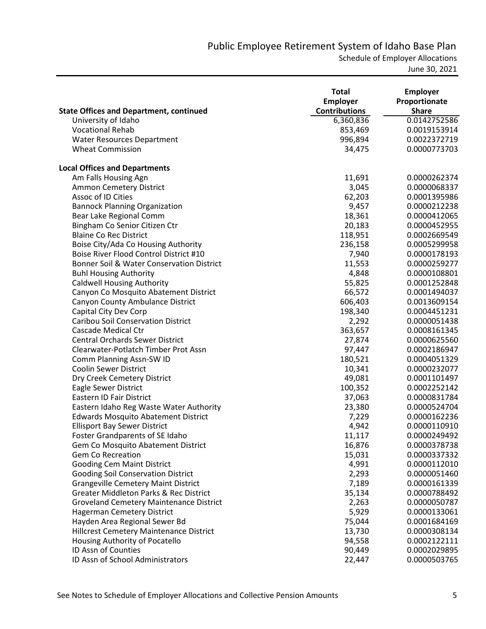Schedule of Employer Allocations

|                                                      | <b>Total</b><br>Employer | <b>Employer</b><br>Proportionate |
|------------------------------------------------------|--------------------------|----------------------------------|
| <b>State Offices and Department, continued</b>       | <b>Contributions</b>     | <b>Share</b>                     |
| University of Idaho                                  | 6,360,836                | 0.0142752586                     |
| <b>Vocational Rehab</b>                              | 853,469                  | 0.0019153914                     |
| Water Resources Department                           | 996,894                  | 0.0022372719                     |
| <b>Wheat Commission</b>                              | 34,475                   | 0.0000773703                     |
| <b>Local Offices and Departments</b>                 |                          |                                  |
| Am Falls Housing Agn                                 | 11,691                   | 0.0000262374                     |
| Ammon Cemetery District                              | 3,045                    | 0.0000068337                     |
| Assoc of ID Cities                                   | 62,203                   | 0.0001395986                     |
| <b>Bannock Planning Organization</b>                 | 9,457                    | 0.0000212238                     |
| Bear Lake Regional Comm                              | 18,361                   | 0.0000412065                     |
| Bingham Co Senior Citizen Ctr                        | 20,183                   | 0.0000452955                     |
| <b>Blaine Co Rec District</b>                        | 118,951                  | 0.0002669549                     |
| Boise City/Ada Co Housing Authority                  | 236,158                  | 0.0005299958                     |
| Boise River Flood Control District #10               | 7,940                    | 0.0000178193                     |
| <b>Bonner Soil &amp; Water Conservation District</b> | 11,553                   | 0.0000259277                     |
| <b>Buhl Housing Authority</b>                        | 4,848                    | 0.0000108801                     |
| <b>Caldwell Housing Authority</b>                    | 55,825                   | 0.0001252848                     |
| Canyon Co Mosquito Abatement District                | 66,572                   | 0.0001494037                     |
| Canyon County Ambulance District                     | 606,403                  | 0.0013609154                     |
| Capital City Dev Corp                                | 198,340                  | 0.0004451231                     |
| <b>Caribou Soil Conservation District</b>            | 2,292                    | 0.0000051438                     |
| <b>Cascade Medical Ctr</b>                           | 363,657                  | 0.0008161345                     |
| <b>Central Orchards Sewer District</b>               | 27,874                   | 0.0000625560                     |
| Clearwater-Potlatch Timber Prot Assn                 | 97,447                   | 0.0002186947                     |
| Comm Planning Assn-SW ID                             | 180,521                  | 0.0004051329                     |
| <b>Coolin Sewer District</b>                         | 10,341                   | 0.0000232077                     |
| Dry Creek Cemetery District                          | 49,081                   | 0.0001101497                     |
| Eagle Sewer District                                 | 100,352                  | 0.0002252142                     |
| <b>Eastern ID Fair District</b>                      | 37,063                   | 0.0000831784                     |
| Eastern Idaho Reg Waste Water Authority              | 23,380                   | 0.0000524704                     |
| <b>Edwards Mosquito Abatement District</b>           | 7,229                    | 0.0000162236                     |
| <b>Ellisport Bay Sewer District</b>                  | 4,942                    | 0.0000110910                     |
| <b>Foster Grandparents of SE Idaho</b>               | 11,117                   | 0.0000249492                     |
| Gem Co Mosquito Abatement District                   | 16,876                   | 0.0000378738                     |
| <b>Gem Co Recreation</b>                             | 15,031                   | 0.0000337332                     |
| <b>Gooding Cem Maint District</b>                    | 4,991                    | 0.0000112010                     |
| <b>Gooding Soil Conservation District</b>            | 2,293                    | 0.0000051460                     |
| <b>Grangeville Cemetery Maint District</b>           | 7,189                    | 0.0000161339                     |
| <b>Greater Middleton Parks &amp; Rec District</b>    | 35,134                   | 0.0000788492                     |
| <b>Groveland Cemetery Maintenance District</b>       | 2,263                    | 0.0000050787                     |
| <b>Hagerman Cemetery District</b>                    | 5,929                    | 0.0000133061                     |
| Hayden Area Regional Sewer Bd                        | 75,044                   | 0.0001684169                     |
| Hillcrest Cemetery Maintenance District              | 13,730                   | 0.0000308134                     |
| Housing Authority of Pocatello                       | 94,558                   | 0.0002122111                     |
| ID Assn of Counties                                  | 90,449                   | 0.0002029895                     |
| ID Assn of School Administrators                     | 22,447                   | 0.0000503765                     |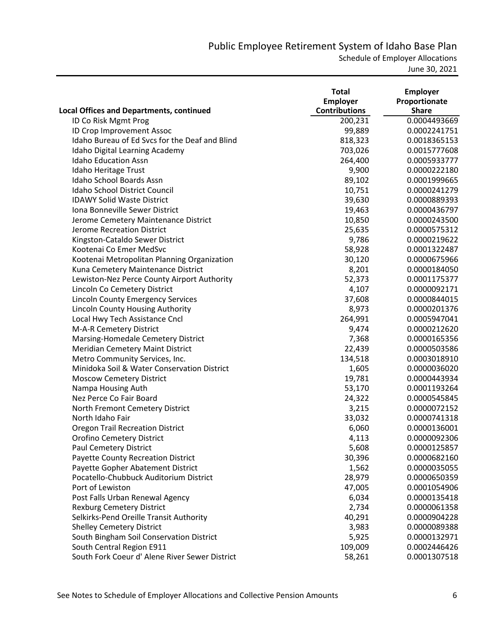|                                                 | <b>Total</b>         | <b>Employer</b> |
|-------------------------------------------------|----------------------|-----------------|
|                                                 | <b>Employer</b>      | Proportionate   |
| <b>Local Offices and Departments, continued</b> | <b>Contributions</b> | <b>Share</b>    |
| ID Co Risk Mgmt Prog                            | 200,231              | 0.0004493669    |
| ID Crop Improvement Assoc                       | 99,889               | 0.0002241751    |
| Idaho Bureau of Ed Svcs for the Deaf and Blind  | 818,323              | 0.0018365153    |
| Idaho Digital Learning Academy                  | 703,026              | 0.0015777608    |
| <b>Idaho Education Assn</b>                     | 264,400              | 0.0005933777    |
| Idaho Heritage Trust                            | 9,900                | 0.0000222180    |
| Idaho School Boards Assn                        | 89,102               | 0.0001999665    |
| Idaho School District Council                   | 10,751               | 0.0000241279    |
| <b>IDAWY Solid Waste District</b>               | 39,630               | 0.0000889393    |
| Iona Bonneville Sewer District                  | 19,463               | 0.0000436797    |
| Jerome Cemetery Maintenance District            | 10,850               | 0.0000243500    |
| Jerome Recreation District                      | 25,635               | 0.0000575312    |
| Kingston-Cataldo Sewer District                 | 9,786                | 0.0000219622    |
| Kootenai Co Emer MedSvc                         | 58,928               | 0.0001322487    |
| Kootenai Metropolitan Planning Organization     | 30,120               | 0.0000675966    |
| Kuna Cemetery Maintenance District              | 8,201                | 0.0000184050    |
| Lewiston-Nez Perce County Airport Authority     | 52,373               | 0.0001175377    |
| Lincoln Co Cemetery District                    | 4,107                | 0.0000092171    |
| <b>Lincoln County Emergency Services</b>        | 37,608               | 0.0000844015    |
| Lincoln County Housing Authority                | 8,973                | 0.0000201376    |
| Local Hwy Tech Assistance Cncl                  | 264,991              | 0.0005947041    |
| M-A-R Cemetery District                         | 9,474                | 0.0000212620    |
| Marsing-Homedale Cemetery District              | 7,368                | 0.0000165356    |
| Meridian Cemetery Maint District                | 22,439               | 0.0000503586    |
| Metro Community Services, Inc.                  | 134,518              | 0.0003018910    |
| Minidoka Soil & Water Conservation District     | 1,605                | 0.0000036020    |
| <b>Moscow Cemetery District</b>                 | 19,781               | 0.0000443934    |
| Nampa Housing Auth                              | 53,170               | 0.0001193264    |
| Nez Perce Co Fair Board                         | 24,322               | 0.0000545845    |
| North Fremont Cemetery District                 | 3,215                | 0.0000072152    |
| North Idaho Fair                                | 33,032               | 0.0000741318    |
| <b>Oregon Trail Recreation District</b>         | 6,060                | 0.0000136001    |
| <b>Orofino Cemetery District</b>                | 4,113                | 0.0000092306    |
| <b>Paul Cemetery District</b>                   | 5,608                | 0.0000125857    |
| <b>Payette County Recreation District</b>       | 30,396               | 0.0000682160    |
| Payette Gopher Abatement District               | 1,562                | 0.0000035055    |
| Pocatello-Chubbuck Auditorium District          | 28,979               | 0.0000650359    |
| Port of Lewiston                                | 47,005               | 0.0001054906    |
| Post Falls Urban Renewal Agency                 | 6,034                | 0.0000135418    |
| <b>Rexburg Cemetery District</b>                | 2,734                | 0.0000061358    |
| Selkirks-Pend Oreille Transit Authority         | 40,291               | 0.0000904228    |
| <b>Shelley Cemetery District</b>                | 3,983                | 0.0000089388    |
| South Bingham Soil Conservation District        | 5,925                | 0.0000132971    |
| South Central Region E911                       | 109,009              | 0.0002446426    |
| South Fork Coeur d' Alene River Sewer District  | 58,261               | 0.0001307518    |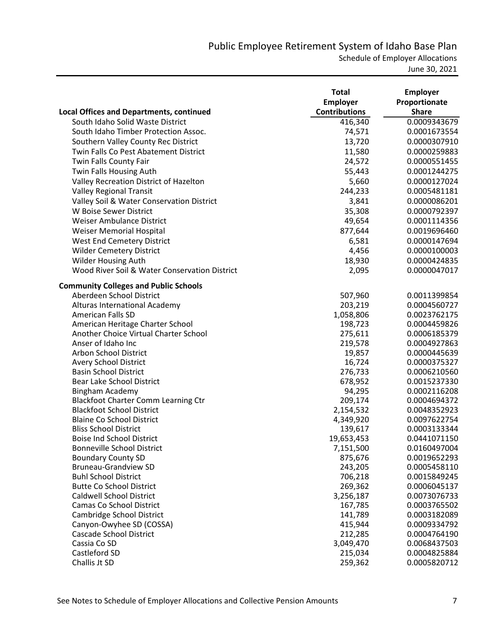Schedule of Employer Allocations

|                                                                           | <b>Total</b><br><b>Employer</b> | <b>Employer</b><br>Proportionate |
|---------------------------------------------------------------------------|---------------------------------|----------------------------------|
| <b>Local Offices and Departments, continued</b>                           | <b>Contributions</b>            | <b>Share</b>                     |
| South Idaho Solid Waste District                                          | 416,340                         | 0.0009343679                     |
| South Idaho Timber Protection Assoc.                                      | 74,571                          | 0.0001673554                     |
| Southern Valley County Rec District                                       | 13,720                          | 0.0000307910                     |
| Twin Falls Co Pest Abatement District                                     | 11,580                          | 0.0000259883                     |
| Twin Falls County Fair                                                    | 24,572                          | 0.0000551455                     |
| Twin Falls Housing Auth                                                   | 55,443                          | 0.0001244275                     |
| Valley Recreation District of Hazelton                                    | 5,660                           | 0.0000127024                     |
| <b>Valley Regional Transit</b>                                            | 244,233                         | 0.0005481181                     |
| Valley Soil & Water Conservation District                                 | 3,841                           | 0.0000086201                     |
| W Boise Sewer District                                                    | 35,308                          | 0.0000792397                     |
| <b>Weiser Ambulance District</b>                                          | 49,654                          | 0.0001114356                     |
| <b>Weiser Memorial Hospital</b>                                           | 877,644                         | 0.0019696460                     |
| <b>West End Cemetery District</b>                                         | 6,581                           | 0.0000147694                     |
| <b>Wilder Cemetery District</b>                                           | 4,456                           | 0.0000100003                     |
| <b>Wilder Housing Auth</b>                                                | 18,930                          | 0.0000424835                     |
| Wood River Soil & Water Conservation District                             | 2,095                           | 0.0000047017                     |
|                                                                           |                                 |                                  |
| <b>Community Colleges and Public Schools</b>                              |                                 |                                  |
| Aberdeen School District                                                  | 507,960                         | 0.0011399854                     |
| Alturas International Academy                                             | 203,219                         | 0.0004560727                     |
| American Falls SD                                                         | 1,058,806                       | 0.0023762175                     |
| American Heritage Charter School<br>Another Choice Virtual Charter School | 198,723                         | 0.0004459826                     |
| Anser of Idaho Inc                                                        | 275,611                         | 0.0006185379                     |
| Arbon School District                                                     | 219,578<br>19,857               | 0.0004927863                     |
| <b>Avery School District</b>                                              | 16,724                          | 0.0000445639<br>0.0000375327     |
| <b>Basin School District</b>                                              | 276,733                         | 0.0006210560                     |
| Bear Lake School District                                                 | 678,952                         | 0.0015237330                     |
| <b>Bingham Academy</b>                                                    | 94,295                          | 0.0002116208                     |
| <b>Blackfoot Charter Comm Learning Ctr</b>                                | 209,174                         | 0.0004694372                     |
| <b>Blackfoot School District</b>                                          | 2,154,532                       | 0.0048352923                     |
| <b>Blaine Co School District</b>                                          | 4,349,920                       | 0.0097622754                     |
| <b>Bliss School District</b>                                              | 139,617                         | 0.0003133344                     |
| <b>Boise Ind School District</b>                                          | 19,653,453                      | 0.0441071150                     |
| <b>Bonneville School District</b>                                         | 7,151,500                       | 0.0160497004                     |
| <b>Boundary County SD</b>                                                 | 875,676                         | 0.0019652293                     |
| <b>Bruneau-Grandview SD</b>                                               | 243,205                         | 0.0005458110                     |
| <b>Buhl School District</b>                                               | 706,218                         | 0.0015849245                     |
| <b>Butte Co School District</b>                                           | 269,362                         | 0.0006045137                     |
| <b>Caldwell School District</b>                                           | 3,256,187                       | 0.0073076733                     |
| <b>Camas Co School District</b>                                           | 167,785                         | 0.0003765502                     |
| Cambridge School District                                                 | 141,789                         | 0.0003182089                     |
| Canyon-Owyhee SD (COSSA)                                                  | 415,944                         | 0.0009334792                     |
| <b>Cascade School District</b>                                            | 212,285                         | 0.0004764190                     |
| Cassia Co SD                                                              | 3,049,470                       | 0.0068437503                     |
| Castleford SD                                                             | 215,034                         | 0.0004825884                     |
| Challis Jt SD                                                             | 259,362                         | 0.0005820712                     |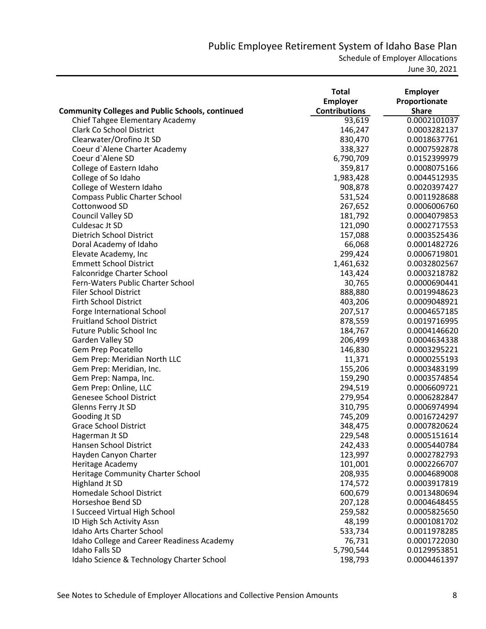Schedule of Employer Allocations

|                                                         | <b>Total</b><br><b>Employer</b> | <b>Employer</b><br>Proportionate |
|---------------------------------------------------------|---------------------------------|----------------------------------|
| <b>Community Colleges and Public Schools, continued</b> | <b>Contributions</b>            | <b>Share</b>                     |
| Chief Tahgee Elementary Academy                         | 93,619                          | 0.0002101037                     |
| <b>Clark Co School District</b>                         | 146,247                         | 0.0003282137                     |
| Clearwater/Orofino Jt SD                                | 830,470                         | 0.0018637761                     |
| Coeur d'Alene Charter Academy                           | 338,327                         | 0.0007592878                     |
| Coeur d'Alene SD                                        | 6,790,709                       | 0.0152399979                     |
| College of Eastern Idaho                                | 359,817                         | 0.0008075166                     |
| College of So Idaho                                     | 1,983,428                       | 0.0044512935                     |
| College of Western Idaho                                | 908,878                         | 0.0020397427                     |
| <b>Compass Public Charter School</b>                    | 531,524                         | 0.0011928688                     |
| Cottonwood SD                                           | 267,652                         | 0.0006006760                     |
| Council Valley SD                                       | 181,792                         | 0.0004079853                     |
| Culdesac Jt SD                                          | 121,090                         | 0.0002717553                     |
| Dietrich School District                                | 157,088                         | 0.0003525436                     |
| Doral Academy of Idaho                                  | 66,068                          | 0.0001482726                     |
| Elevate Academy, Inc                                    | 299,424                         | 0.0006719801                     |
| <b>Emmett School District</b>                           | 1,461,632                       | 0.0032802567                     |
| Falconridge Charter School                              | 143,424                         | 0.0003218782                     |
| Fern-Waters Public Charter School                       | 30,765                          | 0.0000690441                     |
| <b>Filer School District</b>                            | 888,880                         | 0.0019948623                     |
| <b>Firth School District</b>                            | 403,206                         | 0.0009048921                     |
| Forge International School                              | 207,517                         | 0.0004657185                     |
| <b>Fruitland School District</b>                        | 878,559                         | 0.0019716995                     |
| <b>Future Public School Inc</b>                         | 184,767                         | 0.0004146620                     |
| Garden Valley SD                                        | 206,499                         | 0.0004634338                     |
| Gem Prep Pocatello                                      | 146,830                         | 0.0003295221                     |
| Gem Prep: Meridian North LLC                            | 11,371                          | 0.0000255193                     |
| Gem Prep: Meridian, Inc.                                | 155,206                         | 0.0003483199                     |
| Gem Prep: Nampa, Inc.                                   | 159,290                         | 0.0003574854                     |
| Gem Prep: Online, LLC                                   | 294,519                         | 0.0006609721                     |
| <b>Genesee School District</b>                          | 279,954                         | 0.0006282847                     |
| Glenns Ferry Jt SD                                      | 310,795                         | 0.0006974994                     |
| Gooding Jt SD                                           | 745,209                         | 0.0016724297                     |
| <b>Grace School District</b>                            | 348,475                         | 0.0007820624                     |
| Hagerman Jt SD                                          | 229,548                         | 0.0005151614                     |
| Hansen School District                                  | 242,433                         | 0.0005440784                     |
| Hayden Canyon Charter                                   | 123,997                         | 0.0002782793                     |
| Heritage Academy                                        | 101,001                         | 0.0002266707                     |
| Heritage Community Charter School                       | 208,935                         | 0.0004689008                     |
| <b>Highland Jt SD</b>                                   | 174,572                         | 0.0003917819                     |
| Homedale School District                                | 600,679                         | 0.0013480694                     |
| Horseshoe Bend SD                                       | 207,128                         | 0.0004648455                     |
| I Succeed Virtual High School                           | 259,582                         | 0.0005825650                     |
| ID High Sch Activity Assn                               | 48,199                          | 0.0001081702                     |
| Idaho Arts Charter School                               | 533,734                         | 0.0011978285                     |
| Idaho College and Career Readiness Academy              | 76,731                          | 0.0001722030                     |
| Idaho Falls SD                                          | 5,790,544                       | 0.0129953851                     |
| Idaho Science & Technology Charter School               | 198,793                         | 0.0004461397                     |
|                                                         |                                 |                                  |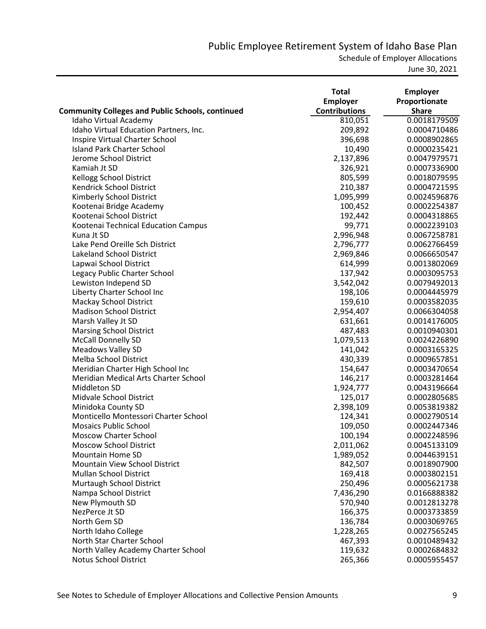Schedule of Employer Allocations

|                                                         | <b>Total</b>         | <b>Employer</b> |
|---------------------------------------------------------|----------------------|-----------------|
|                                                         | <b>Employer</b>      | Proportionate   |
| <b>Community Colleges and Public Schools, continued</b> | <b>Contributions</b> | <b>Share</b>    |
| Idaho Virtual Academy                                   | 810,051              | 0.0018179509    |
| Idaho Virtual Education Partners, Inc.                  | 209,892              | 0.0004710486    |
| Inspire Virtual Charter School                          | 396,698              | 0.0008902865    |
| <b>Island Park Charter School</b>                       | 10,490               | 0.0000235421    |
| Jerome School District                                  | 2,137,896            | 0.0047979571    |
| Kamiah Jt SD                                            | 326,921              | 0.0007336900    |
| <b>Kellogg School District</b>                          | 805,599              | 0.0018079595    |
| Kendrick School District                                | 210,387              | 0.0004721595    |
| Kimberly School District                                | 1,095,999            | 0.0024596876    |
| Kootenai Bridge Academy                                 | 100,452              | 0.0002254387    |
| Kootenai School District                                | 192,442              | 0.0004318865    |
| Kootenai Technical Education Campus                     | 99,771               | 0.0002239103    |
| Kuna Jt SD                                              | 2,996,948            | 0.0067258781    |
| Lake Pend Oreille Sch District                          | 2,796,777            | 0.0062766459    |
| <b>Lakeland School District</b>                         | 2,969,846            | 0.0066650547    |
| Lapwai School District                                  | 614,999              | 0.0013802069    |
| Legacy Public Charter School                            | 137,942              | 0.0003095753    |
| Lewiston Independ SD                                    | 3,542,042            | 0.0079492013    |
| Liberty Charter School Inc                              | 198,106              | 0.0004445979    |
| Mackay School District                                  | 159,610              | 0.0003582035    |
| <b>Madison School District</b>                          | 2,954,407            | 0.0066304058    |
| Marsh Valley Jt SD                                      | 631,661              | 0.0014176005    |
| <b>Marsing School District</b>                          | 487,483              | 0.0010940301    |
| <b>McCall Donnelly SD</b>                               | 1,079,513            | 0.0024226890    |
| <b>Meadows Valley SD</b>                                | 141,042              | 0.0003165325    |
| Melba School District                                   | 430,339              | 0.0009657851    |
| Meridian Charter High School Inc                        | 154,647              | 0.0003470654    |
| Meridian Medical Arts Charter School                    | 146,217              | 0.0003281464    |
| Middleton SD                                            | 1,924,777            | 0.0043196664    |
| Midvale School District                                 | 125,017              | 0.0002805685    |
| Minidoka County SD                                      | 2,398,109            | 0.0053819382    |
| Monticello Montessori Charter School                    | 124,341              | 0.0002790514    |
| <b>Mosaics Public School</b>                            | 109,050              | 0.0002447346    |
| <b>Moscow Charter School</b>                            | 100,194              | 0.0002248596    |
| <b>Moscow School District</b>                           | 2,011,062            | 0.0045133109    |
| <b>Mountain Home SD</b>                                 | 1,989,052            | 0.0044639151    |
| Mountain View School District                           | 842,507              | 0.0018907900    |
| <b>Mullan School District</b>                           | 169,418              | 0.0003802151    |
| Murtaugh School District                                | 250,496              | 0.0005621738    |
| Nampa School District                                   | 7,436,290            | 0.0166888382    |
| New Plymouth SD                                         | 570,940              | 0.0012813278    |
| NezPerce Jt SD                                          | 166,375              | 0.0003733859    |
| North Gem SD                                            | 136,784              | 0.0003069765    |
| North Idaho College                                     | 1,228,265            | 0.0027565245    |
| North Star Charter School                               | 467,393              | 0.0010489432    |
| North Valley Academy Charter School                     | 119,632              | 0.0002684832    |
| <b>Notus School District</b>                            | 265,366              | 0.0005955457    |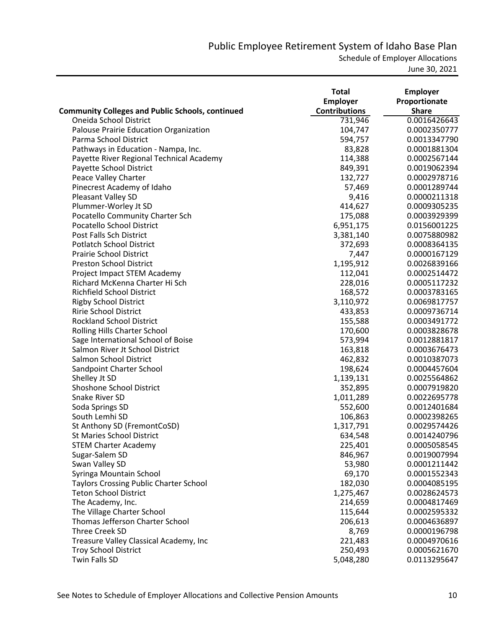Schedule of Employer Allocations

|                                                         | <b>Total</b>         | <b>Employer</b> |
|---------------------------------------------------------|----------------------|-----------------|
|                                                         | Employer             | Proportionate   |
| <b>Community Colleges and Public Schools, continued</b> | <b>Contributions</b> | <b>Share</b>    |
| Oneida School District                                  | 731,946              | 0.0016426643    |
| Palouse Prairie Education Organization                  | 104,747              | 0.0002350777    |
| Parma School District                                   | 594,757              | 0.0013347790    |
| Pathways in Education - Nampa, Inc.                     | 83,828               | 0.0001881304    |
| Payette River Regional Technical Academy                | 114,388              | 0.0002567144    |
| Payette School District                                 | 849,391              | 0.0019062394    |
| Peace Valley Charter                                    | 132,727              | 0.0002978716    |
| Pinecrest Academy of Idaho                              | 57,469               | 0.0001289744    |
| Pleasant Valley SD                                      | 9,416                | 0.0000211318    |
| Plummer-Worley Jt SD                                    | 414,627              | 0.0009305235    |
| Pocatello Community Charter Sch                         | 175,088              | 0.0003929399    |
| Pocatello School District                               | 6,951,175            | 0.0156001225    |
| Post Falls Sch District                                 | 3,381,140            | 0.0075880982    |
| <b>Potlatch School District</b>                         | 372,693              | 0.0008364135    |
| <b>Prairie School District</b>                          | 7,447                | 0.0000167129    |
| <b>Preston School District</b>                          | 1,195,912            | 0.0026839166    |
| Project Impact STEM Academy                             | 112,041              | 0.0002514472    |
| Richard McKenna Charter Hi Sch                          | 228,016              | 0.0005117232    |
| Richfield School District                               | 168,572              | 0.0003783165    |
| <b>Rigby School District</b>                            | 3,110,972            | 0.0069817757    |
| <b>Ririe School District</b>                            | 433,853              | 0.0009736714    |
| <b>Rockland School District</b>                         | 155,588              | 0.0003491772    |
| Rolling Hills Charter School                            | 170,600              | 0.0003828678    |
| Sage International School of Boise                      | 573,994              | 0.0012881817    |
| Salmon River Jt School District                         | 163,818              | 0.0003676473    |
| Salmon School District                                  | 462,832              | 0.0010387073    |
| Sandpoint Charter School                                | 198,624              | 0.0004457604    |
| Shelley Jt SD                                           | 1,139,131            | 0.0025564862    |
| <b>Shoshone School District</b>                         | 352,895              | 0.0007919820    |
| <b>Snake River SD</b>                                   | 1,011,289            | 0.0022695778    |
| Soda Springs SD                                         | 552,600              | 0.0012401684    |
| South Lemhi SD                                          | 106,863              | 0.0002398265    |
| St Anthony SD (FremontCoSD)                             | 1,317,791            | 0.0029574426    |
| <b>St Maries School District</b>                        | 634,548              | 0.0014240796    |
| <b>STEM Charter Academy</b>                             | 225,401              | 0.0005058545    |
| Sugar-Salem SD                                          | 846,967              | 0.0019007994    |
| Swan Valley SD                                          | 53,980               | 0.0001211442    |
| Syringa Mountain School                                 | 69,170               | 0.0001552343    |
| <b>Taylors Crossing Public Charter School</b>           | 182,030              | 0.0004085195    |
| <b>Teton School District</b>                            | 1,275,467            | 0.0028624573    |
| The Academy, Inc.                                       | 214,659              | 0.0004817469    |
| The Village Charter School                              | 115,644              | 0.0002595332    |
| Thomas Jefferson Charter School                         | 206,613              | 0.0004636897    |
| Three Creek SD                                          | 8,769                | 0.0000196798    |
| Treasure Valley Classical Academy, Inc                  | 221,483              | 0.0004970616    |
| <b>Troy School District</b>                             | 250,493              | 0.0005621670    |
| Twin Falls SD                                           | 5,048,280            | 0.0113295647    |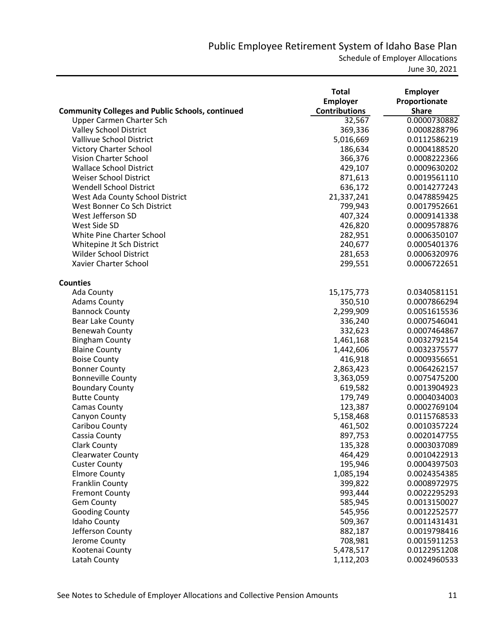Schedule of Employer Allocations

|                                                         | <b>Total</b><br>Employer | <b>Employer</b><br>Proportionate |
|---------------------------------------------------------|--------------------------|----------------------------------|
| <b>Community Colleges and Public Schools, continued</b> | <b>Contributions</b>     | <b>Share</b>                     |
| Upper Carmen Charter Sch                                | 32,567                   | 0.0000730882                     |
| <b>Valley School District</b>                           | 369,336                  | 0.0008288796                     |
| Vallivue School District                                | 5,016,669                | 0.0112586219                     |
| <b>Victory Charter School</b>                           | 186,634                  | 0.0004188520                     |
| Vision Charter School                                   | 366,376                  | 0.0008222366                     |
| <b>Wallace School District</b>                          | 429,107                  | 0.0009630202                     |
| Weiser School District                                  | 871,613                  | 0.0019561110                     |
| <b>Wendell School District</b>                          | 636,172                  | 0.0014277243                     |
| West Ada County School District                         | 21,337,241               | 0.0478859425                     |
| West Bonner Co Sch District                             | 799,943                  | 0.0017952661                     |
| West Jefferson SD                                       | 407,324                  | 0.0009141338                     |
| West Side SD                                            | 426,820                  | 0.0009578876                     |
| White Pine Charter School                               | 282,951                  | 0.0006350107                     |
| Whitepine Jt Sch District                               | 240,677                  | 0.0005401376                     |
| <b>Wilder School District</b>                           | 281,653                  | 0.0006320976                     |
| Xavier Charter School                                   | 299,551                  | 0.0006722651                     |
| <b>Counties</b>                                         |                          |                                  |
| Ada County                                              | 15,175,773               | 0.0340581151                     |
| <b>Adams County</b>                                     | 350,510                  | 0.0007866294                     |
| <b>Bannock County</b>                                   | 2,299,909                | 0.0051615536                     |
| <b>Bear Lake County</b>                                 | 336,240                  | 0.0007546041                     |
| Benewah County                                          | 332,623                  | 0.0007464867                     |
| <b>Bingham County</b>                                   | 1,461,168                | 0.0032792154                     |
| <b>Blaine County</b>                                    | 1,442,606                | 0.0032375577                     |
| <b>Boise County</b>                                     | 416,918                  | 0.0009356651                     |
| <b>Bonner County</b>                                    | 2,863,423                | 0.0064262157                     |
| <b>Bonneville County</b>                                | 3,363,059                | 0.0075475200                     |
| <b>Boundary County</b>                                  | 619,582                  | 0.0013904923                     |
| <b>Butte County</b>                                     | 179,749                  | 0.0004034003                     |
| <b>Camas County</b>                                     | 123,387                  | 0.0002769104                     |
| Canyon County                                           | 5,158,468                | 0.0115768533                     |
| Caribou County                                          | 461,502                  | 0.0010357224                     |
| Cassia County                                           | 897,753                  | 0.0020147755                     |
| <b>Clark County</b>                                     | 135,328                  | 0.0003037089                     |
| <b>Clearwater County</b>                                | 464,429                  | 0.0010422913                     |
| <b>Custer County</b>                                    | 195,946                  | 0.0004397503                     |
| <b>Elmore County</b>                                    | 1,085,194                | 0.0024354385                     |
| <b>Franklin County</b>                                  | 399,822                  | 0.0008972975                     |
| <b>Fremont County</b>                                   | 993,444                  | 0.0022295293                     |
| <b>Gem County</b>                                       | 585,945                  | 0.0013150027                     |
| <b>Gooding County</b>                                   | 545,956                  | 0.0012252577                     |
| Idaho County                                            | 509,367                  | 0.0011431431                     |
| Jefferson County                                        | 882,187                  | 0.0019798416                     |
| Jerome County                                           | 708,981                  | 0.0015911253                     |
| Kootenai County                                         | 5,478,517                | 0.0122951208                     |
| Latah County                                            | 1,112,203                | 0.0024960533                     |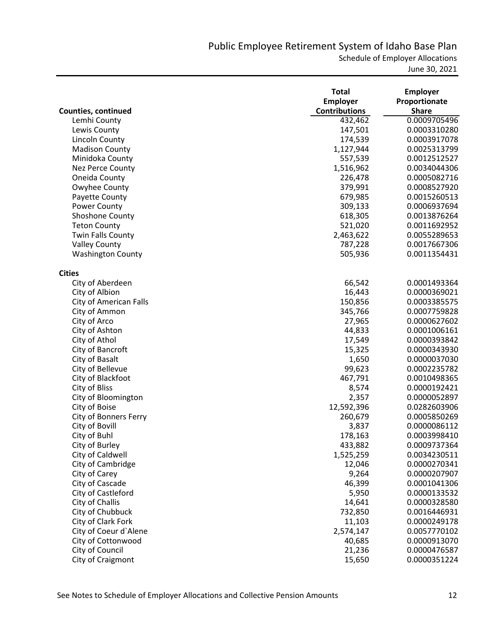|                               | <b>Total</b>         | <b>Employer</b> |
|-------------------------------|----------------------|-----------------|
|                               | <b>Employer</b>      | Proportionate   |
| <b>Counties, continued</b>    | <b>Contributions</b> | <b>Share</b>    |
| Lemhi County                  | 432,462              | 0.0009705496    |
| Lewis County                  | 147,501              | 0.0003310280    |
| Lincoln County                | 174,539              | 0.0003917078    |
| <b>Madison County</b>         | 1,127,944            | 0.0025313799    |
| Minidoka County               | 557,539              | 0.0012512527    |
| Nez Perce County              | 1,516,962            | 0.0034044306    |
| Oneida County                 | 226,478              | 0.0005082716    |
| Owyhee County                 | 379,991              | 0.0008527920    |
| Payette County                | 679,985              | 0.0015260513    |
| Power County                  | 309,133              | 0.0006937694    |
| Shoshone County               | 618,305              | 0.0013876264    |
| <b>Teton County</b>           | 521,020              | 0.0011692952    |
| Twin Falls County             | 2,463,622            | 0.0055289653    |
| <b>Valley County</b>          | 787,228              | 0.0017667306    |
| <b>Washington County</b>      | 505,936              | 0.0011354431    |
| <b>Cities</b>                 |                      |                 |
| City of Aberdeen              | 66,542               | 0.0001493364    |
| City of Albion                | 16,443               | 0.0000369021    |
| <b>City of American Falls</b> | 150,856              | 0.0003385575    |
| City of Ammon                 | 345,766              | 0.0007759828    |
| City of Arco                  | 27,965               | 0.0000627602    |
| City of Ashton                | 44,833               | 0.0001006161    |
| City of Athol                 | 17,549               | 0.0000393842    |
| City of Bancroft              | 15,325               | 0.0000343930    |
| City of Basalt                | 1,650                | 0.0000037030    |
| City of Bellevue              | 99,623               | 0.0002235782    |
| City of Blackfoot             | 467,791              | 0.0010498365    |
| City of Bliss                 | 8,574                | 0.0000192421    |
| City of Bloomington           | 2,357                | 0.0000052897    |
| City of Boise                 | 12,592,396           | 0.0282603906    |
| City of Bonners Ferry         | 260,679              | 0.0005850269    |
| City of Bovill                | 3,837                | 0.0000086112    |
| City of Buhl                  | 178,163              | 0.0003998410    |
| City of Burley                | 433,882              | 0.0009737364    |
| City of Caldwell              | 1,525,259            | 0.0034230511    |
| City of Cambridge             | 12,046               | 0.0000270341    |
| City of Carey                 | 9,264                | 0.0000207907    |
| City of Cascade               | 46,399               | 0.0001041306    |
| City of Castleford            | 5,950                | 0.0000133532    |
| City of Challis               | 14,641               | 0.0000328580    |
| City of Chubbuck              | 732,850              | 0.0016446931    |
| City of Clark Fork            | 11,103               | 0.0000249178    |
| City of Coeur d'Alene         | 2,574,147            | 0.0057770102    |
| City of Cottonwood            | 40,685               | 0.0000913070    |
| City of Council               | 21,236               | 0.0000476587    |
| City of Craigmont             | 15,650               | 0.0000351224    |
|                               |                      |                 |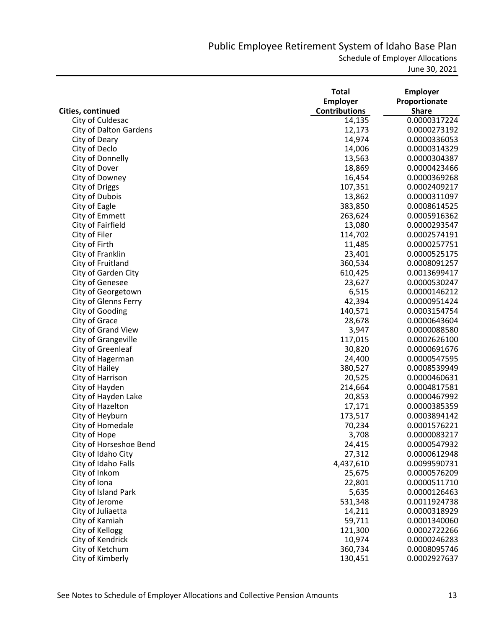Schedule of Employer Allocations

|                               | <b>Total</b>         | <b>Employer</b> |
|-------------------------------|----------------------|-----------------|
|                               | <b>Employer</b>      | Proportionate   |
| Cities, continued             | <b>Contributions</b> | <b>Share</b>    |
| City of Culdesac              | 14,135               | 0.0000317224    |
| <b>City of Dalton Gardens</b> | 12,173               | 0.0000273192    |
| City of Deary                 | 14,974               | 0.0000336053    |
| City of Declo                 | 14,006               | 0.0000314329    |
| City of Donnelly              | 13,563               | 0.0000304387    |
| City of Dover                 | 18,869               | 0.0000423466    |
| City of Downey                | 16,454               | 0.0000369268    |
| City of Driggs                | 107,351              | 0.0002409217    |
| City of Dubois                | 13,862               | 0.0000311097    |
| City of Eagle                 | 383,850              | 0.0008614525    |
| City of Emmett                | 263,624              | 0.0005916362    |
| City of Fairfield             | 13,080               | 0.0000293547    |
| City of Filer                 | 114,702              | 0.0002574191    |
| City of Firth                 | 11,485               | 0.0000257751    |
| City of Franklin              | 23,401               | 0.0000525175    |
| City of Fruitland             | 360,534              | 0.0008091257    |
| City of Garden City           | 610,425              | 0.0013699417    |
| <b>City of Genesee</b>        | 23,627               | 0.0000530247    |
| City of Georgetown            | 6,515                | 0.0000146212    |
| City of Glenns Ferry          | 42,394               | 0.0000951424    |
| City of Gooding               | 140,571              | 0.0003154754    |
| City of Grace                 | 28,678               | 0.0000643604    |
| City of Grand View            | 3,947                | 0.0000088580    |
| City of Grangeville           | 117,015              | 0.0002626100    |
| City of Greenleaf             | 30,820               | 0.0000691676    |
| City of Hagerman              | 24,400               | 0.0000547595    |
| City of Hailey                | 380,527              | 0.0008539949    |
| City of Harrison              | 20,525               | 0.0000460631    |
| City of Hayden                | 214,664              | 0.0004817581    |
| City of Hayden Lake           | 20,853               | 0.0000467992    |
| City of Hazelton              | 17,171               | 0.0000385359    |
| City of Heyburn               | 173,517              | 0.0003894142    |
| City of Homedale              | 70,234               | 0.0001576221    |
| City of Hope                  | 3,708                | 0.0000083217    |
| City of Horseshoe Bend        | 24,415               | 0.0000547932    |
| City of Idaho City            | 27,312               | 0.0000612948    |
| City of Idaho Falls           | 4,437,610            | 0.0099590731    |
| City of Inkom                 | 25,675               | 0.0000576209    |
| City of Iona                  | 22,801               | 0.0000511710    |
| City of Island Park           | 5,635                | 0.0000126463    |
| City of Jerome                | 531,348              | 0.0011924738    |
| City of Juliaetta             | 14,211               | 0.0000318929    |
| City of Kamiah                | 59,711               | 0.0001340060    |
| City of Kellogg               | 121,300              | 0.0002722266    |
| City of Kendrick              | 10,974               | 0.0000246283    |
| City of Ketchum               | 360,734              | 0.0008095746    |
| City of Kimberly              | 130,451              | 0.0002927637    |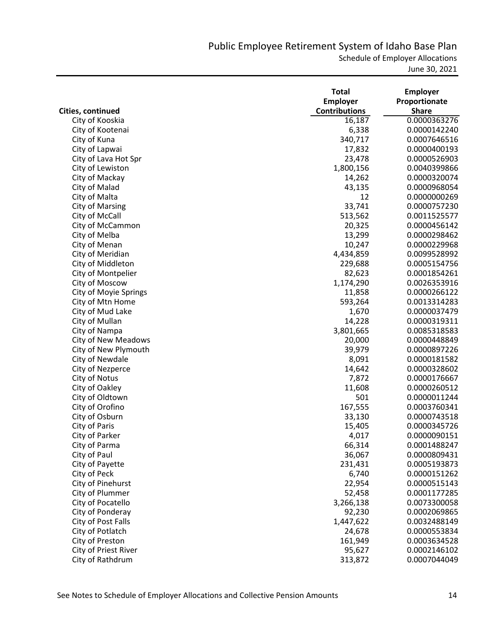Schedule of Employer Allocations

|                              | <b>Total</b>         | <b>Employer</b> |
|------------------------------|----------------------|-----------------|
|                              | <b>Employer</b>      | Proportionate   |
| Cities, continued            | <b>Contributions</b> | <b>Share</b>    |
| City of Kooskia              | 16,187               | 0.0000363276    |
| City of Kootenai             | 6,338                | 0.0000142240    |
| City of Kuna                 | 340,717              | 0.0007646516    |
| City of Lapwai               | 17,832               | 0.0000400193    |
| City of Lava Hot Spr         | 23,478               | 0.0000526903    |
| City of Lewiston             | 1,800,156            | 0.0040399866    |
| City of Mackay               | 14,262               | 0.0000320074    |
| City of Malad                | 43,135               | 0.0000968054    |
| City of Malta                | 12                   | 0.0000000269    |
| <b>City of Marsing</b>       | 33,741               | 0.0000757230    |
| City of McCall               | 513,562              | 0.0011525577    |
| City of McCammon             | 20,325               | 0.0000456142    |
| City of Melba                | 13,299               | 0.0000298462    |
| City of Menan                | 10,247               | 0.0000229968    |
| City of Meridian             | 4,434,859            | 0.0099528992    |
| City of Middleton            | 229,688              | 0.0005154756    |
| City of Montpelier           | 82,623               | 0.0001854261    |
| City of Moscow               | 1,174,290            | 0.0026353916    |
| <b>City of Moyie Springs</b> | 11,858               | 0.0000266122    |
| City of Mtn Home             | 593,264              | 0.0013314283    |
| City of Mud Lake             | 1,670                | 0.0000037479    |
| City of Mullan               | 14,228               | 0.0000319311    |
| City of Nampa                | 3,801,665            | 0.0085318583    |
| City of New Meadows          | 20,000               | 0.0000448849    |
| City of New Plymouth         | 39,979               | 0.0000897226    |
| City of Newdale              | 8,091                | 0.0000181582    |
| City of Nezperce             | 14,642               | 0.0000328602    |
| City of Notus                | 7,872                | 0.0000176667    |
| City of Oakley               | 11,608               | 0.0000260512    |
| City of Oldtown              | 501                  | 0.0000011244    |
| City of Orofino              | 167,555              | 0.0003760341    |
| City of Osburn               | 33,130               | 0.0000743518    |
| City of Paris                | 15,405               | 0.0000345726    |
| City of Parker               | 4,017                | 0.0000090151    |
| City of Parma                | 66,314               | 0.0001488247    |
| City of Paul                 | 36,067               | 0.0000809431    |
| City of Payette              | 231,431              | 0.0005193873    |
| City of Peck                 | 6,740                | 0.0000151262    |
| City of Pinehurst            | 22,954               | 0.0000515143    |
| City of Plummer              |                      |                 |
|                              | 52,458               | 0.0001177285    |
| City of Pocatello            | 3,266,138            | 0.0073300058    |
| City of Ponderay             | 92,230               | 0.0002069865    |
| City of Post Falls           | 1,447,622            | 0.0032488149    |
| City of Potlatch             | 24,678               | 0.0000553834    |
| City of Preston              | 161,949              | 0.0003634528    |
| City of Priest River         | 95,627               | 0.0002146102    |
| City of Rathdrum             | 313,872              | 0.0007044049    |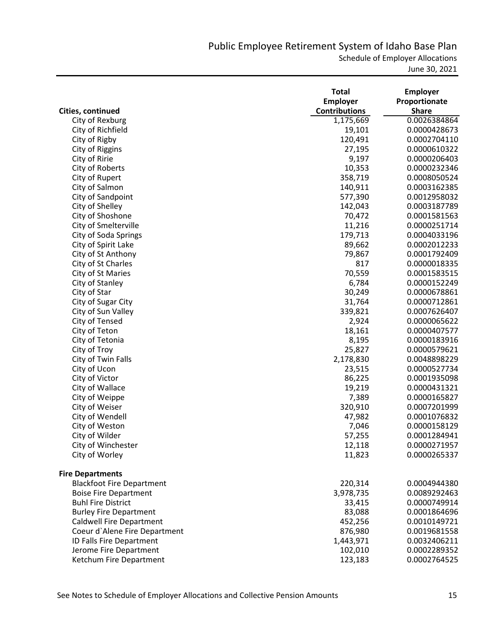Schedule of Employer Allocations

|                                  | <b>Total</b>         | <b>Employer</b> |
|----------------------------------|----------------------|-----------------|
|                                  | Employer             | Proportionate   |
| Cities, continued                | <b>Contributions</b> | <b>Share</b>    |
| City of Rexburg                  | 1,175,669            | 0.0026384864    |
| City of Richfield                | 19,101               | 0.0000428673    |
| City of Rigby                    | 120,491              | 0.0002704110    |
| City of Riggins                  | 27,195               | 0.0000610322    |
| City of Ririe                    | 9,197                | 0.0000206403    |
| City of Roberts                  | 10,353               | 0.0000232346    |
| City of Rupert                   | 358,719              | 0.0008050524    |
| City of Salmon                   | 140,911              | 0.0003162385    |
| City of Sandpoint                | 577,390              | 0.0012958032    |
| City of Shelley                  | 142,043              | 0.0003187789    |
| City of Shoshone                 | 70,472               | 0.0001581563    |
| City of Smelterville             | 11,216               | 0.0000251714    |
| City of Soda Springs             | 179,713              | 0.0004033196    |
| City of Spirit Lake              | 89,662               | 0.0002012233    |
| City of St Anthony               | 79,867               | 0.0001792409    |
| City of St Charles               | 817                  | 0.0000018335    |
| City of St Maries                | 70,559               | 0.0001583515    |
| City of Stanley                  | 6,784                | 0.0000152249    |
| City of Star                     | 30,249               | 0.0000678861    |
| City of Sugar City               | 31,764               | 0.0000712861    |
| City of Sun Valley               | 339,821              | 0.0007626407    |
| City of Tensed                   | 2,924                | 0.0000065622    |
| City of Teton                    | 18,161               | 0.0000407577    |
| City of Tetonia                  | 8,195                | 0.0000183916    |
| City of Troy                     | 25,827               | 0.0000579621    |
| City of Twin Falls               | 2,178,830            | 0.0048898229    |
| City of Ucon                     | 23,515               | 0.0000527734    |
| City of Victor                   | 86,225               | 0.0001935098    |
| City of Wallace                  | 19,219               | 0.0000431321    |
| City of Weippe                   | 7,389                | 0.0000165827    |
| City of Weiser                   | 320,910              | 0.0007201999    |
| City of Wendell                  | 47,982               | 0.0001076832    |
| City of Weston                   | 7,046                | 0.0000158129    |
| City of Wilder                   | 57,255               | 0.0001284941    |
| City of Winchester               | 12,118               | 0.0000271957    |
| City of Worley                   | 11,823               | 0.0000265337    |
| <b>Fire Departments</b>          |                      |                 |
| <b>Blackfoot Fire Department</b> | 220,314              | 0.0004944380    |
| <b>Boise Fire Department</b>     | 3,978,735            | 0.0089292463    |
| <b>Buhl Fire District</b>        | 33,415               | 0.0000749914    |
| <b>Burley Fire Department</b>    | 83,088               | 0.0001864696    |
| <b>Caldwell Fire Department</b>  | 452,256              | 0.0010149721    |
| Coeur d'Alene Fire Department    | 876,980              | 0.0019681558    |
| ID Falls Fire Department         | 1,443,971            | 0.0032406211    |
| Jerome Fire Department           | 102,010              | 0.0002289352    |
| Ketchum Fire Department          | 123,183              | 0.0002764525    |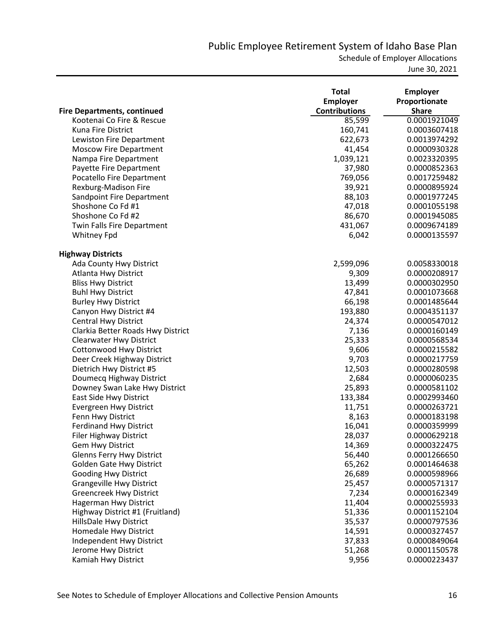|                                    | <b>Total</b>         | <b>Employer</b> |
|------------------------------------|----------------------|-----------------|
|                                    | <b>Employer</b>      | Proportionate   |
| <b>Fire Departments, continued</b> | <b>Contributions</b> | <b>Share</b>    |
| Kootenai Co Fire & Rescue          | 85,599               | 0.0001921049    |
| Kuna Fire District                 | 160,741              | 0.0003607418    |
| Lewiston Fire Department           | 622,673              | 0.0013974292    |
| <b>Moscow Fire Department</b>      | 41,454               | 0.0000930328    |
| Nampa Fire Department              | 1,039,121            | 0.0023320395    |
| Payette Fire Department            | 37,980               | 0.0000852363    |
| Pocatello Fire Department          | 769,056              | 0.0017259482    |
| Rexburg-Madison Fire               | 39,921               | 0.0000895924    |
| Sandpoint Fire Department          | 88,103               | 0.0001977245    |
| Shoshone Co Fd #1                  | 47,018               | 0.0001055198    |
| Shoshone Co Fd #2                  | 86,670               | 0.0001945085    |
| <b>Twin Falls Fire Department</b>  | 431,067              | 0.0009674189    |
| <b>Whitney Fpd</b>                 | 6,042                | 0.0000135597    |
| <b>Highway Districts</b>           |                      |                 |
| Ada County Hwy District            | 2,599,096            | 0.0058330018    |
| Atlanta Hwy District               | 9,309                | 0.0000208917    |
| <b>Bliss Hwy District</b>          | 13,499               | 0.0000302950    |
| <b>Buhl Hwy District</b>           | 47,841               | 0.0001073668    |
| <b>Burley Hwy District</b>         | 66,198               | 0.0001485644    |
| Canyon Hwy District #4             | 193,880              | 0.0004351137    |
| <b>Central Hwy District</b>        | 24,374               | 0.0000547012    |
| Clarkia Better Roads Hwy District  | 7,136                | 0.0000160149    |
| <b>Clearwater Hwy District</b>     | 25,333               | 0.0000568534    |
| <b>Cottonwood Hwy District</b>     | 9,606                | 0.0000215582    |
| Deer Creek Highway District        | 9,703                | 0.0000217759    |
| Dietrich Hwy District #5           | 12,503               | 0.0000280598    |
| Doumecq Highway District           | 2,684                | 0.0000060235    |
| Downey Swan Lake Hwy District      | 25,893               | 0.0000581102    |
| East Side Hwy District             | 133,384              | 0.0002993460    |
| <b>Evergreen Hwy District</b>      | 11,751               | 0.0000263721    |
| Fenn Hwy District                  | 8,163                | 0.0000183198    |
| <b>Ferdinand Hwy District</b>      | 16,041               | 0.0000359999    |
| <b>Filer Highway District</b>      | 28,037               | 0.0000629218    |
| <b>Gem Hwy District</b>            | 14,369               | 0.0000322475    |
| <b>Glenns Ferry Hwy District</b>   | 56,440               | 0.0001266650    |
| <b>Golden Gate Hwy District</b>    | 65,262               | 0.0001464638    |
| <b>Gooding Hwy District</b>        | 26,689               | 0.0000598966    |
| <b>Grangeville Hwy District</b>    | 25,457               | 0.0000571317    |
| <b>Greencreek Hwy District</b>     | 7,234                | 0.0000162349    |
| <b>Hagerman Hwy District</b>       | 11,404               | 0.0000255933    |
| Highway District #1 (Fruitland)    | 51,336               | 0.0001152104    |
| HillsDale Hwy District             | 35,537               | 0.0000797536    |
| Homedale Hwy District              | 14,591               | 0.0000327457    |
| Independent Hwy District           | 37,833               | 0.0000849064    |
| Jerome Hwy District                | 51,268               | 0.0001150578    |
| Kamiah Hwy District                | 9,956                | 0.0000223437    |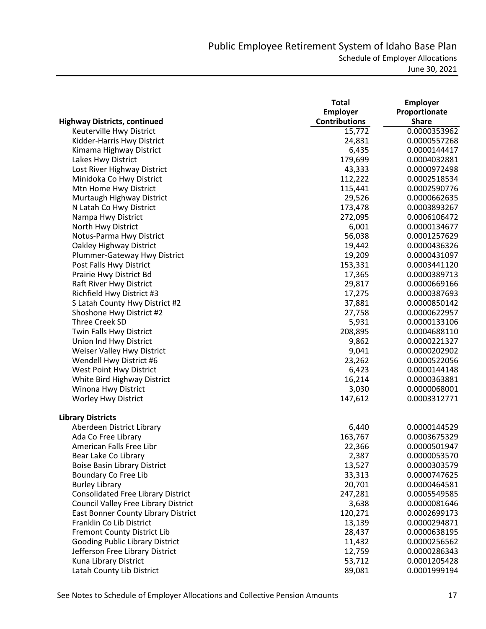|                                           | <b>Total</b>         | <b>Employer</b> |
|-------------------------------------------|----------------------|-----------------|
|                                           | <b>Employer</b>      | Proportionate   |
| <b>Highway Districts, continued</b>       | <b>Contributions</b> | <b>Share</b>    |
| Keuterville Hwy District                  | 15,772               | 0.0000353962    |
| Kidder-Harris Hwy District                | 24,831               | 0.0000557268    |
| Kimama Highway District                   | 6,435                | 0.0000144417    |
| Lakes Hwy District                        | 179,699              | 0.0004032881    |
| Lost River Highway District               | 43,333               | 0.0000972498    |
| Minidoka Co Hwy District                  | 112,222              | 0.0002518534    |
| Mtn Home Hwy District                     | 115,441              | 0.0002590776    |
| Murtaugh Highway District                 | 29,526               | 0.0000662635    |
| N Latah Co Hwy District                   | 173,478              | 0.0003893267    |
| Nampa Hwy District                        | 272,095              | 0.0006106472    |
| North Hwy District                        | 6,001                | 0.0000134677    |
| Notus-Parma Hwy District                  | 56,038               | 0.0001257629    |
| Oakley Highway District                   | 19,442               | 0.0000436326    |
| Plummer-Gateway Hwy District              | 19,209               | 0.0000431097    |
| Post Falls Hwy District                   | 153,331              | 0.0003441120    |
| Prairie Hwy District Bd                   | 17,365               | 0.0000389713    |
| Raft River Hwy District                   | 29,817               | 0.0000669166    |
| Richfield Hwy District #3                 | 17,275               | 0.0000387693    |
| S Latah County Hwy District #2            | 37,881               | 0.0000850142    |
| Shoshone Hwy District #2                  | 27,758               | 0.0000622957    |
| Three Creek SD                            | 5,931                | 0.0000133106    |
| Twin Falls Hwy District                   | 208,895              | 0.0004688110    |
| Union Ind Hwy District                    | 9,862                | 0.0000221327    |
| Weiser Valley Hwy District                | 9,041                | 0.0000202902    |
| Wendell Hwy District #6                   | 23,262               | 0.0000522056    |
| West Point Hwy District                   | 6,423                | 0.0000144148    |
| White Bird Highway District               | 16,214               | 0.0000363881    |
| Winona Hwy District                       | 3,030                | 0.0000068001    |
| Worley Hwy District                       | 147,612              | 0.0003312771    |
|                                           |                      |                 |
| <b>Library Districts</b>                  |                      |                 |
| Aberdeen District Library                 | 6,440                | 0.0000144529    |
| Ada Co Free Library                       | 163,767              | 0.0003675329    |
| American Falls Free Libr                  | 22,366               | 0.0000501947    |
| Bear Lake Co Library                      | 2,387                | 0.0000053570    |
| <b>Boise Basin Library District</b>       | 13,527               | 0.0000303579    |
| Boundary Co Free Lib                      | 33,313               | 0.0000747625    |
| <b>Burley Library</b>                     | 20,701               | 0.0000464581    |
| <b>Consolidated Free Library District</b> | 247,281              | 0.0005549585    |
| Council Valley Free Library District      | 3,638                | 0.0000081646    |
| East Bonner County Library District       | 120,271              | 0.0002699173    |
| Franklin Co Lib District                  | 13,139               | 0.0000294871    |
| Fremont County District Lib               | 28,437               | 0.0000638195    |
| <b>Gooding Public Library District</b>    | 11,432               | 0.0000256562    |
| Jefferson Free Library District           | 12,759               | 0.0000286343    |
| Kuna Library District                     | 53,712               | 0.0001205428    |
| Latah County Lib District                 | 89,081               | 0.0001999194    |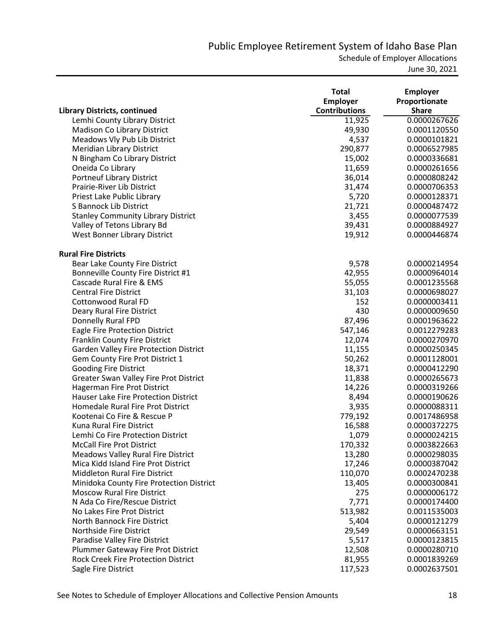|                                               | <b>Total</b><br><b>Employer</b> | <b>Employer</b><br>Proportionate |
|-----------------------------------------------|---------------------------------|----------------------------------|
| <b>Library Districts, continued</b>           | <b>Contributions</b>            | <b>Share</b>                     |
| Lemhi County Library District                 | 11,925                          | 0.0000267626                     |
| Madison Co Library District                   | 49,930                          | 0.0001120550                     |
| Meadows Vly Pub Lib District                  | 4,537                           | 0.0000101821                     |
| Meridian Library District                     | 290,877                         | 0.0006527985                     |
| N Bingham Co Library District                 | 15,002                          | 0.0000336681                     |
| Oneida Co Library                             | 11,659                          | 0.0000261656                     |
| <b>Portneuf Library District</b>              | 36,014                          | 0.0000808242                     |
| Prairie-River Lib District                    | 31,474                          | 0.0000706353                     |
| Priest Lake Public Library                    | 5,720                           | 0.0000128371                     |
| S Bannock Lib District                        | 21,721                          | 0.0000487472                     |
| <b>Stanley Community Library District</b>     | 3,455                           | 0.0000077539                     |
| Valley of Tetons Library Bd                   | 39,431                          | 0.0000884927                     |
| West Bonner Library District                  | 19,912                          | 0.0000446874                     |
| <b>Rural Fire Districts</b>                   |                                 |                                  |
| Bear Lake County Fire District                | 9,578                           | 0.0000214954                     |
| Bonneville County Fire District #1            | 42,955                          | 0.0000964014                     |
| Cascade Rural Fire & EMS                      | 55,055                          | 0.0001235568                     |
| <b>Central Fire District</b>                  | 31,103                          | 0.0000698027                     |
| <b>Cottonwood Rural FD</b>                    | 152                             | 0.0000003411                     |
| Deary Rural Fire District                     | 430                             | 0.0000009650                     |
| Donnelly Rural FPD                            | 87,496                          | 0.0001963622                     |
| Eagle Fire Protection District                | 547,146                         | 0.0012279283                     |
| Franklin County Fire District                 | 12,074                          | 0.0000270970                     |
| <b>Garden Valley Fire Protection District</b> | 11,155                          | 0.0000250345                     |
| Gem County Fire Prot District 1               | 50,262                          | 0.0001128001                     |
| <b>Gooding Fire District</b>                  | 18,371                          | 0.0000412290                     |
| Greater Swan Valley Fire Prot District        | 11,838                          | 0.0000265673                     |
| Hagerman Fire Prot District                   | 14,226                          | 0.0000319266                     |
| <b>Hauser Lake Fire Protection District</b>   | 8,494                           | 0.0000190626                     |
| Homedale Rural Fire Prot District             | 3,935                           | 0.0000088311                     |
| Kootenai Co Fire & Rescue P                   | 779,192                         | 0.0017486958                     |
| Kuna Rural Fire District                      | 16,588                          | 0.0000372275                     |
| Lemhi Co Fire Protection District             | 1,079                           | 0.0000024215                     |
| <b>McCall Fire Prot District</b>              | 170,332                         | 0.0003822663                     |
| <b>Meadows Valley Rural Fire District</b>     | 13,280                          | 0.0000298035                     |
| Mica Kidd Island Fire Prot District           | 17,246                          | 0.0000387042                     |
| <b>Middleton Rural Fire District</b>          | 110,070                         | 0.0002470238                     |
| Minidoka County Fire Protection District      | 13,405                          | 0.0000300841                     |
| <b>Moscow Rural Fire District</b>             | 275                             | 0.0000006172                     |
| N Ada Co Fire/Rescue District                 | 7,771                           | 0.0000174400                     |
| No Lakes Fire Prot District                   | 513,982                         | 0.0011535003                     |
| North Bannock Fire District                   | 5,404                           | 0.0000121279                     |
| Northside Fire District                       | 29,549                          | 0.0000663151                     |
| Paradise Valley Fire District                 | 5,517                           | 0.0000123815                     |
| Plummer Gateway Fire Prot District            | 12,508                          | 0.0000280710                     |
| <b>Rock Creek Fire Protection District</b>    | 81,955                          | 0.0001839269                     |
| Sagle Fire District                           | 117,523                         | 0.0002637501                     |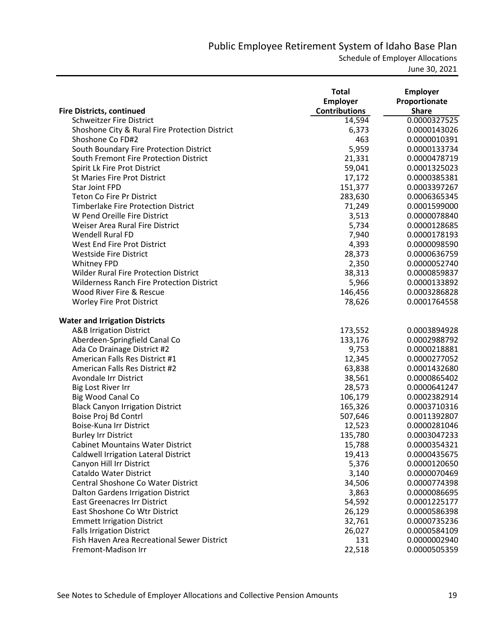Schedule of Employer Allocations

|                                                  | <b>Total</b><br><b>Employer</b> | <b>Employer</b><br>Proportionate |
|--------------------------------------------------|---------------------------------|----------------------------------|
| <b>Fire Districts, continued</b>                 | <b>Contributions</b>            | <b>Share</b>                     |
| <b>Schweitzer Fire District</b>                  | 14,594                          | 0.0000327525                     |
| Shoshone City & Rural Fire Protection District   | 6,373                           | 0.0000143026                     |
| Shoshone Co FD#2                                 | 463                             | 0.0000010391                     |
| South Boundary Fire Protection District          | 5,959                           | 0.0000133734                     |
| South Fremont Fire Protection District           | 21,331                          | 0.0000478719                     |
| Spirit Lk Fire Prot District                     | 59,041                          | 0.0001325023                     |
| <b>St Maries Fire Prot District</b>              | 17,172                          | 0.0000385381                     |
| Star Joint FPD                                   | 151,377                         | 0.0003397267                     |
| <b>Teton Co Fire Pr District</b>                 | 283,630                         | 0.0006365345                     |
| <b>Timberlake Fire Protection District</b>       | 71,249                          | 0.0001599000                     |
| W Pend Oreille Fire District                     | 3,513                           | 0.0000078840                     |
| Weiser Area Rural Fire District                  | 5,734                           | 0.0000128685                     |
| <b>Wendell Rural FD</b>                          | 7,940                           | 0.0000178193                     |
| West End Fire Prot District                      | 4,393                           | 0.0000098590                     |
| <b>Westside Fire District</b>                    | 28,373                          | 0.0000636759                     |
| <b>Whitney FPD</b>                               | 2,350                           | 0.0000052740                     |
| <b>Wilder Rural Fire Protection District</b>     | 38,313                          | 0.0000859837                     |
| <b>Wilderness Ranch Fire Protection District</b> | 5,966                           | 0.0000133892                     |
| Wood River Fire & Rescue                         | 146,456                         | 0.0003286828                     |
| Worley Fire Prot District                        | 78,626                          | 0.0001764558                     |
| <b>Water and Irrigation Districts</b>            |                                 |                                  |
| <b>A&amp;B Irrigation District</b>               | 173,552                         | 0.0003894928                     |
| Aberdeen-Springfield Canal Co                    | 133,176                         | 0.0002988792                     |
| Ada Co Drainage District #2                      | 9,753                           | 0.0000218881                     |
| American Falls Res District #1                   | 12,345                          | 0.0000277052                     |
| American Falls Res District #2                   | 63,838                          | 0.0001432680                     |
| Avondale Irr District                            | 38,561                          | 0.0000865402                     |
| Big Lost River Irr                               | 28,573                          | 0.0000641247                     |
| Big Wood Canal Co                                | 106,179                         | 0.0002382914                     |
| <b>Black Canyon Irrigation District</b>          | 165,326                         | 0.0003710316                     |
| Boise Proj Bd Contrl                             | 507,646                         | 0.0011392807                     |
| Boise-Kuna Irr District                          | 12,523                          | 0.0000281046                     |
| <b>Burley Irr District</b>                       | 135,780                         | 0.0003047233                     |
| <b>Cabinet Mountains Water District</b>          | 15,788                          | 0.0000354321                     |
| <b>Caldwell Irrigation Lateral District</b>      | 19,413                          | 0.0000435675                     |
| Canyon Hill Irr District                         | 5,376                           | 0.0000120650                     |
| Cataldo Water District                           | 3,140                           | 0.0000070469                     |
| Central Shoshone Co Water District               | 34,506                          | 0.0000774398                     |
| Dalton Gardens Irrigation District               | 3,863                           | 0.0000086695                     |
| East Greenacres Irr District                     | 54,592                          | 0.0001225177                     |
| East Shoshone Co Wtr District                    | 26,129                          | 0.0000586398                     |
| <b>Emmett Irrigation District</b>                | 32,761                          | 0.0000735236                     |
| <b>Falls Irrigation District</b>                 | 26,027                          | 0.0000584109                     |
| Fish Haven Area Recreational Sewer District      | 131                             | 0.0000002940                     |
|                                                  |                                 |                                  |
| Fremont-Madison Irr                              | 22,518                          | 0.0000505359                     |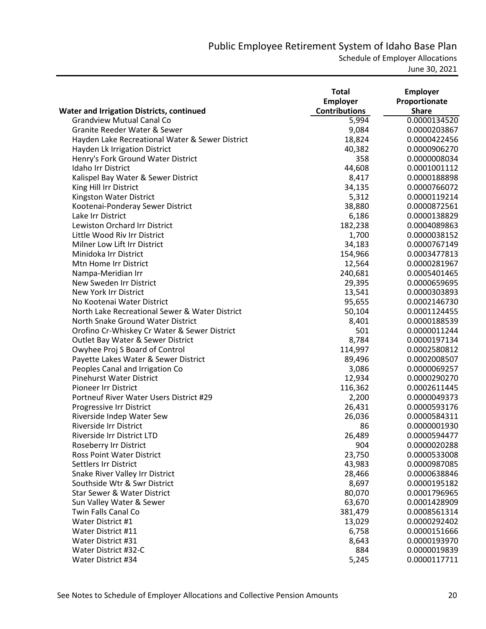Schedule of Employer Allocations

|                                                  | <b>Total</b><br>Employer | <b>Employer</b><br>Proportionate |
|--------------------------------------------------|--------------------------|----------------------------------|
| <b>Water and Irrigation Districts, continued</b> | <b>Contributions</b>     | <b>Share</b>                     |
| <b>Grandview Mutual Canal Co</b>                 | 5,994                    | 0.0000134520                     |
| <b>Granite Reeder Water &amp; Sewer</b>          | 9,084                    | 0.0000203867                     |
| Hayden Lake Recreational Water & Sewer District  | 18,824                   | 0.0000422456                     |
| Hayden Lk Irrigation District                    | 40,382                   | 0.0000906270                     |
| Henry's Fork Ground Water District               | 358                      | 0.0000008034                     |
| Idaho Irr District                               | 44,608                   | 0.0001001112                     |
| Kalispel Bay Water & Sewer District              | 8,417                    | 0.0000188898                     |
| King Hill Irr District                           | 34,135                   | 0.0000766072                     |
| Kingston Water District                          | 5,312                    | 0.0000119214                     |
| Kootenai-Ponderay Sewer District                 | 38,880                   | 0.0000872561                     |
| Lake Irr District                                | 6,186                    | 0.0000138829                     |
| Lewiston Orchard Irr District                    | 182,238                  | 0.0004089863                     |
| Little Wood Riv Irr District                     | 1,700                    | 0.0000038152                     |
| Milner Low Lift Irr District                     | 34,183                   | 0.0000767149                     |
| Minidoka Irr District                            | 154,966                  | 0.0003477813                     |
| Mtn Home Irr District                            | 12,564                   | 0.0000281967                     |
| Nampa-Meridian Irr                               | 240,681                  | 0.0005401465                     |
| New Sweden Irr District                          | 29,395                   | 0.0000659695                     |
| New York Irr District                            | 13,541                   | 0.0000303893                     |
| No Kootenai Water District                       | 95,655                   | 0.0002146730                     |
| North Lake Recreational Sewer & Water District   | 50,104                   | 0.0001124455                     |
| North Snake Ground Water District                | 8,401                    | 0.0000188539                     |
| Orofino Cr-Whiskey Cr Water & Sewer District     | 501                      | 0.0000011244                     |
| Outlet Bay Water & Sewer District                | 8,784                    | 0.0000197134                     |
| Owyhee Proj S Board of Control                   | 114,997                  | 0.0002580812                     |
| Payette Lakes Water & Sewer District             | 89,496                   | 0.0002008507                     |
| Peoples Canal and Irrigation Co                  | 3,086                    | 0.0000069257                     |
| <b>Pinehurst Water District</b>                  | 12,934                   | 0.0000290270                     |
| Pioneer Irr District                             | 116,362                  | 0.0002611445                     |
| Portneuf River Water Users District #29          | 2,200                    | 0.0000049373                     |
| Progressive Irr District                         | 26,431                   | 0.0000593176                     |
| Riverside Indep Water Sew                        | 26,036                   | 0.0000584311                     |
| Riverside Irr District                           | 86                       | 0.0000001930                     |
| Riverside Irr District LTD                       | 26,489                   | 0.0000594477                     |
| Roseberry Irr District                           | 904                      | 0.0000020288                     |
| <b>Ross Point Water District</b>                 | 23,750                   | 0.0000533008                     |
| Settlers Irr District                            | 43,983                   | 0.0000987085                     |
| Snake River Valley Irr District                  | 28,466                   | 0.0000638846                     |
| Southside Wtr & Swr District                     | 8,697                    | 0.0000195182                     |
| <b>Star Sewer &amp; Water District</b>           | 80,070                   | 0.0001796965                     |
| Sun Valley Water & Sewer                         | 63,670                   | 0.0001428909                     |
| Twin Falls Canal Co                              | 381,479                  | 0.0008561314                     |
| Water District #1                                | 13,029                   | 0.0000292402                     |
| Water District #11                               | 6,758                    | 0.0000151666                     |
| Water District #31                               | 8,643                    | 0.0000193970                     |
| Water District #32-C                             | 884                      | 0.0000019839                     |
| Water District #34                               | 5,245                    | 0.0000117711                     |
|                                                  |                          |                                  |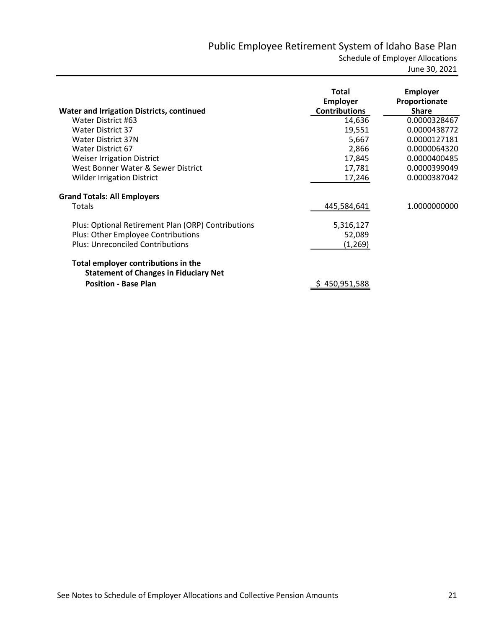| <b>Water and Irrigation Districts, continued</b>                                    | Total<br><b>Employer</b><br><b>Contributions</b> | <b>Employer</b><br>Proportionate<br><b>Share</b> |
|-------------------------------------------------------------------------------------|--------------------------------------------------|--------------------------------------------------|
| Water District #63                                                                  | 14,636                                           | 0.0000328467                                     |
| <b>Water District 37</b>                                                            | 19,551                                           | 0.0000438772                                     |
| Water District 37N                                                                  | 5,667                                            | 0.0000127181                                     |
| Water District 67                                                                   | 2,866                                            | 0.0000064320                                     |
| <b>Weiser Irrigation District</b>                                                   | 17,845                                           | 0.0000400485                                     |
| West Bonner Water & Sewer District                                                  | 17,781                                           | 0.0000399049                                     |
| <b>Wilder Irrigation District</b>                                                   | 17,246                                           | 0.0000387042                                     |
| <b>Grand Totals: All Employers</b>                                                  |                                                  |                                                  |
| Totals                                                                              | 445,584,641                                      | 1.0000000000                                     |
| Plus: Optional Retirement Plan (ORP) Contributions                                  | 5,316,127                                        |                                                  |
| Plus: Other Employee Contributions                                                  | 52,089                                           |                                                  |
| <b>Plus: Unreconciled Contributions</b>                                             | (1, 269)                                         |                                                  |
| Total employer contributions in the<br><b>Statement of Changes in Fiduciary Net</b> |                                                  |                                                  |
| <b>Position - Base Plan</b>                                                         | 450,951,588                                      |                                                  |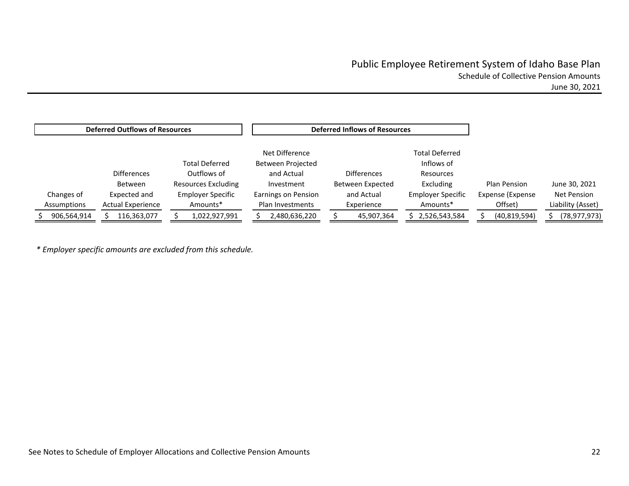|             | <b>Deferred Outflows of Resources</b> |                            |                     | <b>Deferred Inflows of Resources</b> |                          |                  |                   |
|-------------|---------------------------------------|----------------------------|---------------------|--------------------------------------|--------------------------|------------------|-------------------|
|             |                                       |                            | Net Difference      |                                      | <b>Total Deferred</b>    |                  |                   |
|             |                                       | Total Deferred             | Between Projected   |                                      | Inflows of               |                  |                   |
|             | <b>Differences</b>                    | Outflows of                | and Actual          | <b>Differences</b>                   | <b>Resources</b>         |                  |                   |
|             | <b>Between</b>                        | <b>Resources Excluding</b> | Investment          | Between Expected                     | Excluding                | Plan Pension     | June 30, 2021     |
| Changes of  | Expected and                          | <b>Employer Specific</b>   | Earnings on Pension | and Actual                           | <b>Employer Specific</b> | Expense (Expense | Net Pension       |
| Assumptions | <b>Actual Experience</b>              | Amounts*                   | Plan Investments    | Experience                           | Amounts*                 | Offset)          | Liability (Asset) |
| 906,564,914 | 116,363,077                           | 1,022,927,991              | 2,480,636,220       | 45,907,364                           | 2,526,543,584            | (40, 819, 594)   | (78,977,973)      |

*\* Employer specific amounts are excluded from this schedule.*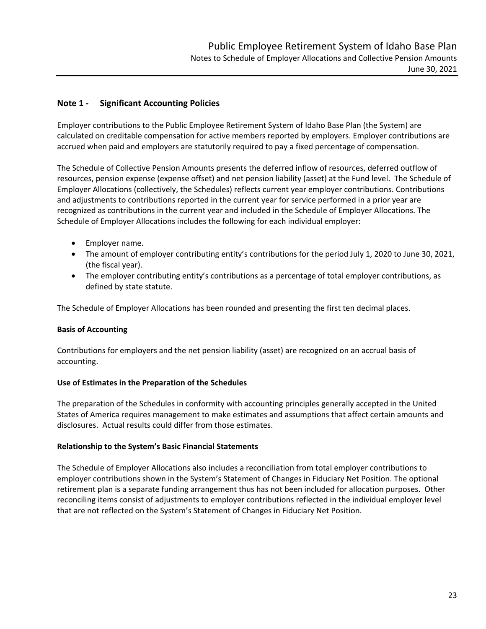### **Note 1 ‐ Significant Accounting Policies**

Employer contributions to the Public Employee Retirement System of Idaho Base Plan (the System) are calculated on creditable compensation for active members reported by employers. Employer contributions are accrued when paid and employers are statutorily required to pay a fixed percentage of compensation.

The Schedule of Collective Pension Amounts presents the deferred inflow of resources, deferred outflow of resources, pension expense (expense offset) and net pension liability (asset) at the Fund level. The Schedule of Employer Allocations (collectively, the Schedules) reflects current year employer contributions. Contributions and adjustments to contributions reported in the current year for service performed in a prior year are recognized as contributions in the current year and included in the Schedule of Employer Allocations. The Schedule of Employer Allocations includes the following for each individual employer:

- Employer name.
- The amount of employer contributing entity's contributions for the period July 1, 2020 to June 30, 2021, (the fiscal year).
- The employer contributing entity's contributions as a percentage of total employer contributions, as defined by state statute.

The Schedule of Employer Allocations has been rounded and presenting the first ten decimal places.

### **Basis of Accounting**

Contributions for employers and the net pension liability (asset) are recognized on an accrual basis of accounting.

### **Use of Estimates in the Preparation of the Schedules**

The preparation of the Schedules in conformity with accounting principles generally accepted in the United States of America requires management to make estimates and assumptions that affect certain amounts and disclosures. Actual results could differ from those estimates.

### **Relationship to the System's Basic Financial Statements**

The Schedule of Employer Allocations also includes a reconciliation from total employer contributions to employer contributions shown in the System's Statement of Changes in Fiduciary Net Position. The optional retirement plan is a separate funding arrangement thus has not been included for allocation purposes. Other reconciling items consist of adjustments to employer contributions reflected in the individual employer level that are not reflected on the System's Statement of Changes in Fiduciary Net Position.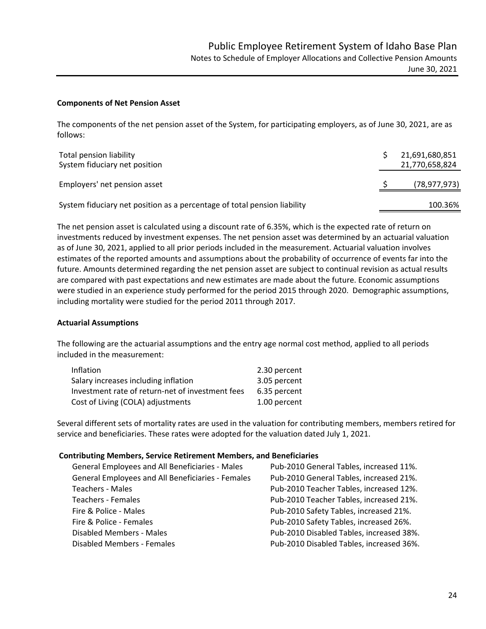### **Components of Net Pension Asset**

The components of the net pension asset of the System, for participating employers, as of June 30, 2021, are as follows:

| Total pension liability<br>System fiduciary net position                 | 21,691,680,851<br>21,770,658,824 |
|--------------------------------------------------------------------------|----------------------------------|
| Employers' net pension asset                                             | (78, 977, 973)                   |
| System fiduciary net position as a percentage of total pension liability | 100.36%                          |

The net pension asset is calculated using a discount rate of 6.35%, which is the expected rate of return on investments reduced by investment expenses. The net pension asset was determined by an actuarial valuation as of June 30, 2021, applied to all prior periods included in the measurement. Actuarial valuation involves estimates of the reported amounts and assumptions about the probability of occurrence of events far into the future. Amounts determined regarding the net pension asset are subject to continual revision as actual results are compared with past expectations and new estimates are made about the future. Economic assumptions were studied in an experience study performed for the period 2015 through 2020. Demographic assumptions, including mortality were studied for the period 2011 through 2017.

#### **Actuarial Assumptions**

The following are the actuarial assumptions and the entry age normal cost method, applied to all periods included in the measurement:

| Inflation                                        | 2.30 percent |
|--------------------------------------------------|--------------|
| Salary increases including inflation             | 3.05 percent |
| Investment rate of return-net of investment fees | 6.35 percent |
| Cost of Living (COLA) adjustments                | 1.00 percent |

Several different sets of mortality rates are used in the valuation for contributing members, members retired for service and beneficiaries. These rates were adopted for the valuation dated July 1, 2021.

#### **Contributing Members, Service Retirement Members, and Beneficiaries**

| General Employees and All Beneficiaries - Males   | Pub-2010 General Tables, increased 11%.  |
|---------------------------------------------------|------------------------------------------|
| General Employees and All Beneficiaries - Females | Pub-2010 General Tables, increased 21%.  |
| <b>Teachers - Males</b>                           | Pub-2010 Teacher Tables, increased 12%.  |
| <b>Teachers - Females</b>                         | Pub-2010 Teacher Tables, increased 21%.  |
| Fire & Police - Males                             | Pub-2010 Safety Tables, increased 21%.   |
| Fire & Police - Females                           | Pub-2010 Safety Tables, increased 26%.   |
| Disabled Members - Males                          | Pub-2010 Disabled Tables, increased 38%. |
| <b>Disabled Members - Females</b>                 | Pub-2010 Disabled Tables, increased 36%. |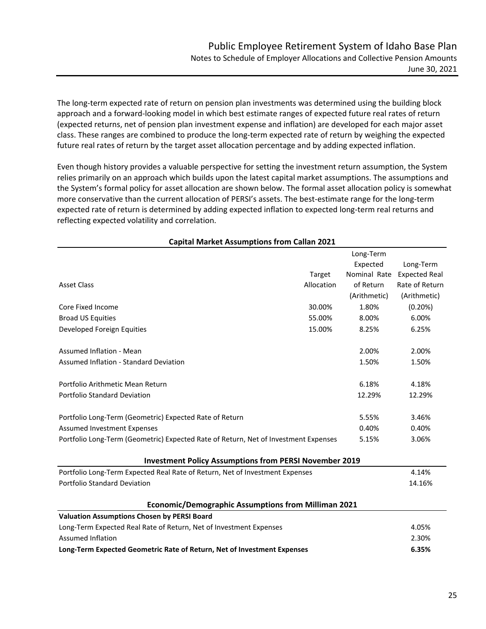The long‐term expected rate of return on pension plan investments was determined using the building block approach and a forward-looking model in which best estimate ranges of expected future real rates of return (expected returns, net of pension plan investment expense and inflation) are developed for each major asset class. These ranges are combined to produce the long-term expected rate of return by weighing the expected future real rates of return by the target asset allocation percentage and by adding expected inflation.

Even though history provides a valuable perspective for setting the investment return assumption, the System relies primarily on an approach which builds upon the latest capital market assumptions. The assumptions and the System's formal policy for asset allocation are shown below. The formal asset allocation policy is somewhat more conservative than the current allocation of PERSI's assets. The best-estimate range for the long-term expected rate of return is determined by adding expected inflation to expected long-term real returns and reflecting expected volatility and correlation.

|                                                                                              |            | Long-Term    |                      |
|----------------------------------------------------------------------------------------------|------------|--------------|----------------------|
|                                                                                              |            | Expected     | Long-Term            |
|                                                                                              | Target     | Nominal Rate | <b>Expected Real</b> |
| <b>Asset Class</b>                                                                           | Allocation | of Return    | Rate of Return       |
|                                                                                              |            | (Arithmetic) | (Arithmetic)         |
| Core Fixed Income                                                                            | 30.00%     | 1.80%        | (0.20%)              |
| <b>Broad US Equities</b>                                                                     | 55.00%     | 8.00%        | 6.00%                |
| Developed Foreign Equities                                                                   | 15.00%     | 8.25%        | 6.25%                |
| <b>Assumed Inflation - Mean</b>                                                              |            | 2.00%        | 2.00%                |
| <b>Assumed Inflation - Standard Deviation</b>                                                |            | 1.50%        | 1.50%                |
| Portfolio Arithmetic Mean Return                                                             |            | 6.18%        | 4.18%                |
| <b>Portfolio Standard Deviation</b>                                                          |            | 12.29%       | 12.29%               |
| Portfolio Long-Term (Geometric) Expected Rate of Return                                      |            | 5.55%        | 3.46%                |
| <b>Assumed Investment Expenses</b>                                                           |            | 0.40%        | 0.40%                |
| Portfolio Long-Term (Geometric) Expected Rate of Return, Net of Investment Expenses<br>5.15% |            |              | 3.06%                |
| <b>Investment Policy Assumptions from PERSI November 2019</b>                                |            |              |                      |
| Portfolio Long-Term Expected Real Rate of Return, Net of Investment Expenses                 |            |              | 4.14%                |
| Portfolio Standard Deviation                                                                 |            |              | 14.16%               |
| <b>Economic/Demographic Assumptions from Milliman 2021</b>                                   |            |              |                      |
| <b>Valuation Assumptions Chosen by PERSI Board</b>                                           |            |              |                      |
| Long-Term Expected Real Rate of Return, Net of Investment Expenses                           |            |              | 4.05%                |
| <b>Assumed Inflation</b>                                                                     |            |              | 2.30%                |
| Long-Term Expected Geometric Rate of Return, Net of Investment Expenses                      |            |              | 6.35%                |

### **Capital Market Assumptions from Callan 2021**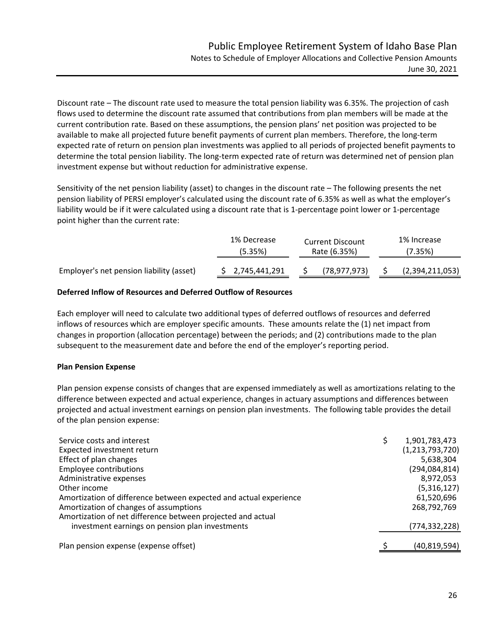Discount rate – The discount rate used to measure the total pension liability was 6.35%. The projection of cash flows used to determine the discount rate assumed that contributions from plan members will be made at the current contribution rate. Based on these assumptions, the pension plans' net position was projected to be available to make all projected future benefit payments of current plan members. Therefore, the long-term expected rate of return on pension plan investments was applied to all periods of projected benefit payments to determine the total pension liability. The long-term expected rate of return was determined net of pension plan investment expense but without reduction for administrative expense.

Sensitivity of the net pension liability (asset) to changes in the discount rate – The following presents the net pension liability of PERSI employer's calculated using the discount rate of 6.35% as well as what the employer's liability would be if it were calculated using a discount rate that is 1‐percentage point lower or 1‐percentage point higher than the current rate:

|                                          | 1% Decrease<br>(5.35%) | <b>Current Discount</b><br>Rate (6.35%) |  | 1% Increase<br>'7.35%) |  |
|------------------------------------------|------------------------|-----------------------------------------|--|------------------------|--|
| Employer's net pension liability (asset) | \$2,745,441,291        | (78,977,973)                            |  | (2,394,211,053)        |  |

### **Deferred Inflow of Resources and Deferred Outflow of Resources**

Each employer will need to calculate two additional types of deferred outflows of resources and deferred inflows of resources which are employer specific amounts. These amounts relate the (1) net impact from changes in proportion (allocation percentage) between the periods; and (2) contributions made to the plan subsequent to the measurement date and before the end of the employer's reporting period.

### **Plan Pension Expense**

Plan pension expense consists of changes that are expensed immediately as well as amortizations relating to the difference between expected and actual experience, changes in actuary assumptions and differences between projected and actual investment earnings on pension plan investments. The following table provides the detail of the plan pension expense:

| Service costs and interest                                        | 1,901,783,473   |
|-------------------------------------------------------------------|-----------------|
| Expected investment return                                        | (1,213,793,720) |
| Effect of plan changes                                            | 5,638,304       |
| <b>Employee contributions</b>                                     | (294,084,814)   |
| Administrative expenses                                           | 8,972,053       |
| Other income                                                      | (5,316,127)     |
| Amortization of difference between expected and actual experience | 61,520,696      |
| Amortization of changes of assumptions                            | 268,792,769     |
| Amortization of net difference between projected and actual       |                 |
| investment earnings on pension plan investments                   | (774, 332, 228) |
| Plan pension expense (expense offset)                             | (40, 819, 594)  |